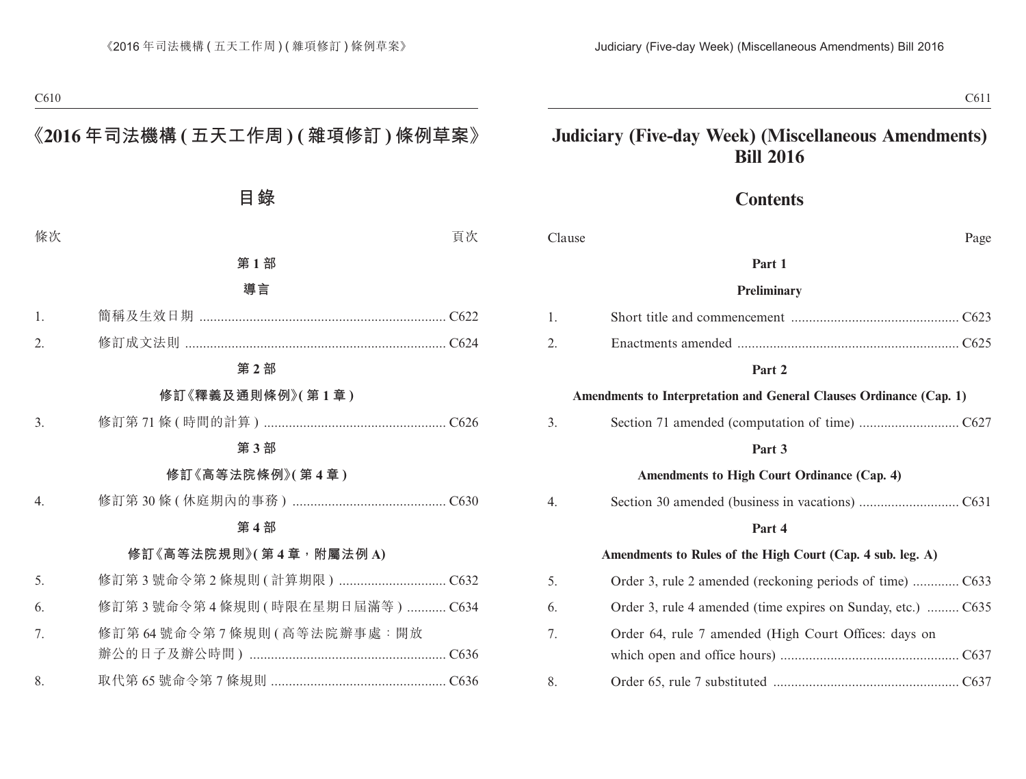# **Judiciary (Five-day Week) (Miscellaneous Amendments) Bill 2016**

### **Contents**

Clause Page

|    | Part 1                                                              |
|----|---------------------------------------------------------------------|
|    | <b>Preliminary</b>                                                  |
| 1. |                                                                     |
| 2. |                                                                     |
|    | Part 2                                                              |
|    | Amendments to Interpretation and General Clauses Ordinance (Cap. 1) |
| 3. |                                                                     |
|    | Part 3                                                              |
|    | Amendments to High Court Ordinance (Cap. 4)                         |
| 4. |                                                                     |
|    | Part 4                                                              |
|    | Amendments to Rules of the High Court (Cap. 4 sub. leg. A)          |
| 5. |                                                                     |
| 6. | Order 3, rule 4 amended (time expires on Sunday, etc.)  C635        |
| 7. | Order 64, rule 7 amended (High Court Offices: days on               |
|    |                                                                     |
| 8. |                                                                     |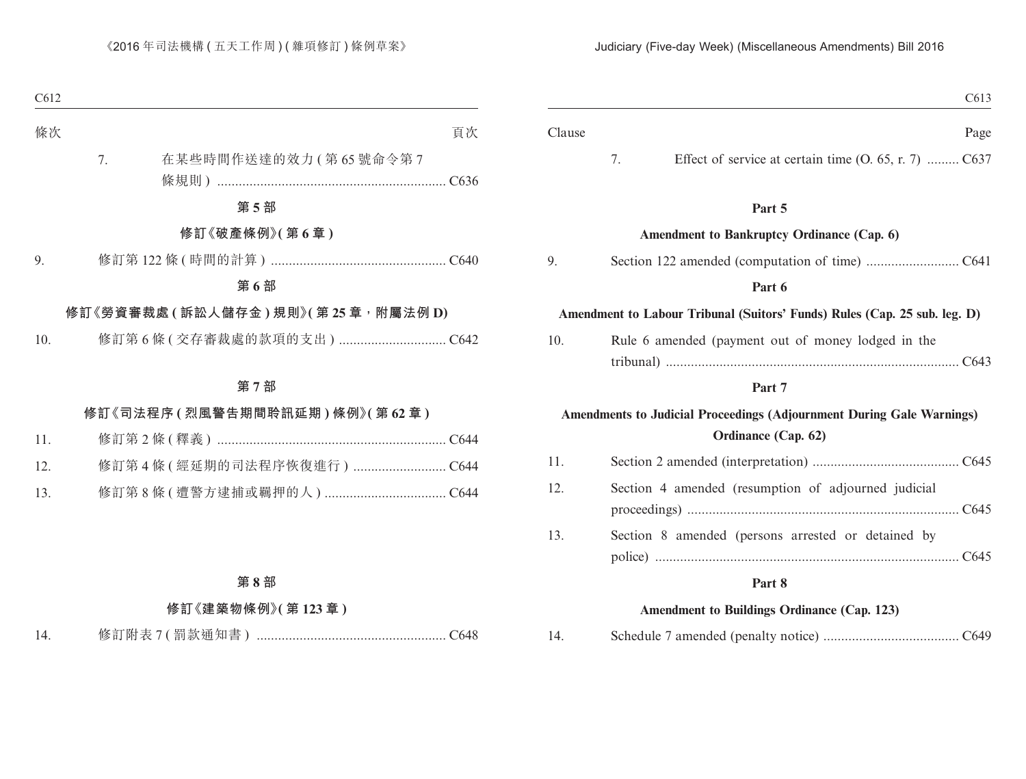| C <sub>613</sub>                                                                                    |        |
|-----------------------------------------------------------------------------------------------------|--------|
| Page                                                                                                | Clause |
| 7.<br>Effect of service at certain time (O. 65, r. 7)  C637                                         |        |
| Part 5                                                                                              |        |
| Amendment to Bankruptcy Ordinance (Cap. 6)                                                          |        |
|                                                                                                     | 9.     |
| Part 6                                                                                              |        |
| Amendment to Labour Tribunal (Suitors' Funds) Rules (Cap. 25 sub. leg. D)                           |        |
| Rule 6 amended (payment out of money lodged in the                                                  | 10.    |
| Part 7                                                                                              |        |
| <b>Amendments to Judicial Proceedings (Adjournment During Gale Warnings)</b><br>Ordinance (Cap. 62) |        |
|                                                                                                     | 11.    |
| Section 4 amended (resumption of adjourned judicial                                                 | 12.    |
| Section 8 amended (persons arrested or detained by                                                  | 13.    |
|                                                                                                     |        |
| Part 8                                                                                              |        |
| <b>Amendment to Buildings Ordinance (Cap. 123)</b>                                                  |        |

| 14. |  |  |  |
|-----|--|--|--|
|     |  |  |  |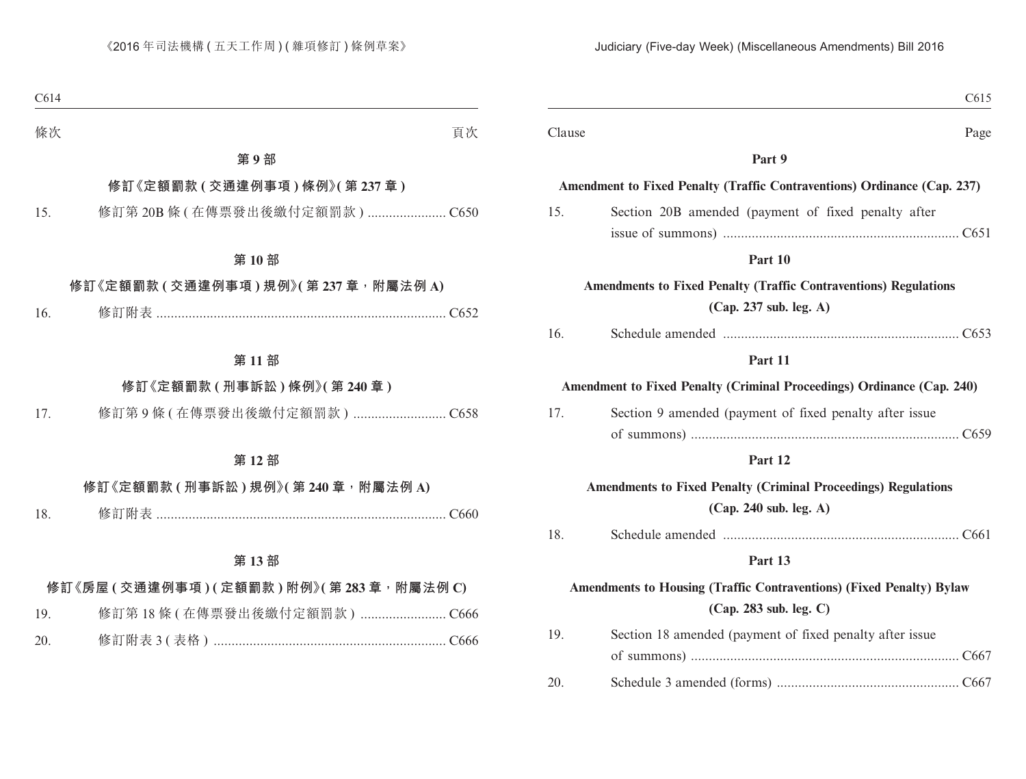| Clause                                                                                                                           |
|----------------------------------------------------------------------------------------------------------------------------------|
|                                                                                                                                  |
| Amendment to Fixed Penalty (Traffic Contraventions) Ordinance (Cap. 237)                                                         |
| 15.                                                                                                                              |
|                                                                                                                                  |
|                                                                                                                                  |
| <b>Amendments to Fixed Penalty (Traffic Contraventions) Regulations</b>                                                          |
| 16.                                                                                                                              |
|                                                                                                                                  |
| Amendment to Fixed Penalty (Criminal Proceedings) Ordinance (Cap. 240)                                                           |
| 17.                                                                                                                              |
|                                                                                                                                  |
|                                                                                                                                  |
| <b>Amendments to Fixed Penalty (Criminal Proceedings) Regulations</b>                                                            |
| 18.                                                                                                                              |
|                                                                                                                                  |
|                                                                                                                                  |
| 19.                                                                                                                              |
|                                                                                                                                  |
| 20.                                                                                                                              |
| Amendments to Housing (Traffic Contraventions) (Fixed Penalty) Bylaw<br>Section 18 amended (payment of fixed penalty after issue |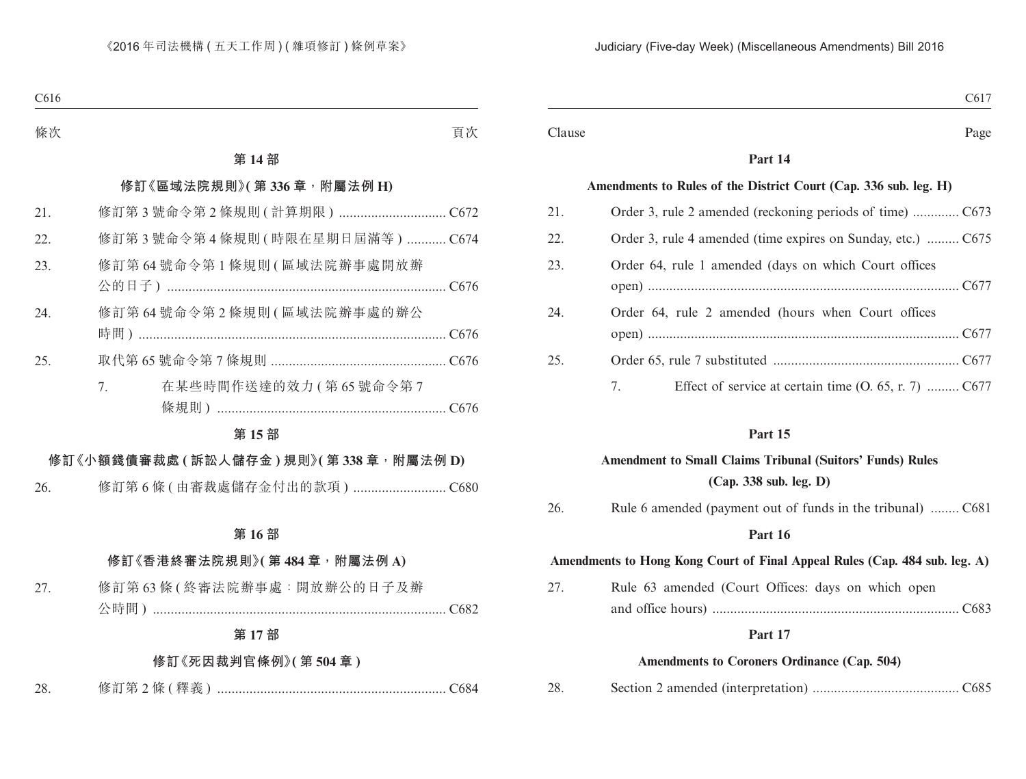|                                                                  | Page                        |
|------------------------------------------------------------------|-----------------------------|
| Part 14                                                          |                             |
| Amendments to Rules of the District Court (Cap. 336 sub. leg. H) |                             |
|                                                                  |                             |
| Order 3, rule 4 amended (time expires on Sunday, etc.)  C675     |                             |
| Order 64, rule 1 amended (days on which Court offices            |                             |
| Order 64, rule 2 amended (hours when Court offices               |                             |
|                                                                  | $\sim$ $\sim$ $\sim$ $\sim$ |

|  | Effect of service at certain time $(0, 65, r, 7)$ C677 |  |
|--|--------------------------------------------------------|--|

|     | <b>Amendment to Small Claims Tribunal (Suitors' Funds) Rules</b>           |
|-----|----------------------------------------------------------------------------|
|     | (Cap. 338 sub. leg. D)                                                     |
| 26. | Rule 6 amended (payment out of funds in the tribunal)  C681                |
|     | Part 16                                                                    |
|     | Amendments to Hong Kong Court of Final Appeal Rules (Cap. 484 sub. leg. A) |
| 27. | Rule 63 amended (Court Offices: days on which open                         |
|     |                                                                            |
|     | Part 17                                                                    |
|     | Amendments to Coroners Ordinance (Cap. 504)                                |

28. Section 2 amended (interpretation) ......................................... C685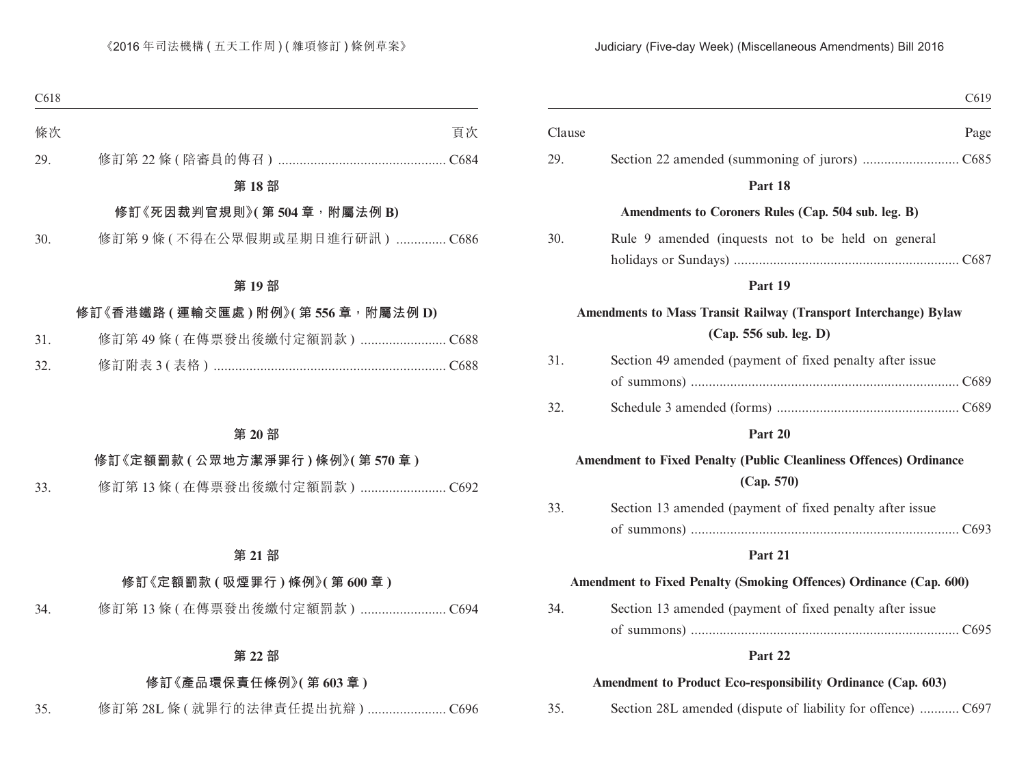| C619                                                                                       |        |
|--------------------------------------------------------------------------------------------|--------|
| Page                                                                                       | Clause |
|                                                                                            | 29.    |
| Part 18                                                                                    |        |
| Amendments to Coroners Rules (Cap. 504 sub. leg. B)                                        |        |
| Rule 9 amended (inquests not to be held on general                                         | 30.    |
|                                                                                            |        |
| Part 19                                                                                    |        |
| Amendments to Mass Transit Railway (Transport Interchange) Bylaw<br>(Cap. 556 sub. leg. D) |        |
| Section 49 amended (payment of fixed penalty after issue                                   | 31.    |
|                                                                                            |        |
|                                                                                            | 32.    |
| Part 20                                                                                    |        |
| <b>Amendment to Fixed Penalty (Public Cleanliness Offences) Ordinance</b><br>(Cap. 570)    |        |
| Section 13 amended (payment of fixed penalty after issue                                   | 33.    |
|                                                                                            |        |
| Part 21                                                                                    |        |
| Amendment to Fixed Penalty (Smoking Offences) Ordinance (Cap. 600)                         |        |
| Section 13 amended (payment of fixed penalty after issue                                   | 34.    |
|                                                                                            |        |
| Part 22                                                                                    |        |
| Amendment to Product Eco-responsibility Ordinance (Cap. 603)                               |        |
| Section 28L amended (dispute of liability for offence)  C697                               | 35.    |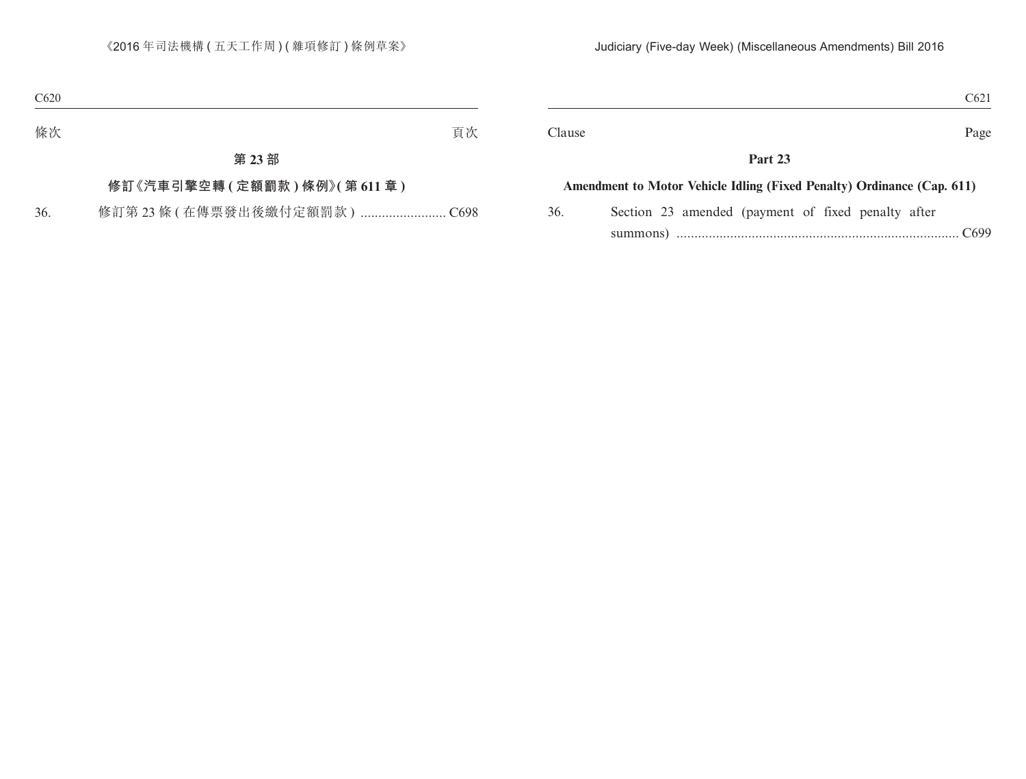|  | $\sim$<br>COZ |  |
|--|---------------|--|
|--|---------------|--|

Clause Page

### **Part 23**

#### **Amendment to Motor Vehicle Idling (Fixed Penalty) Ordinance (Cap. 611)**

36. Section 23 amended (payment of fixed penalty after summons) ............................................................................... C699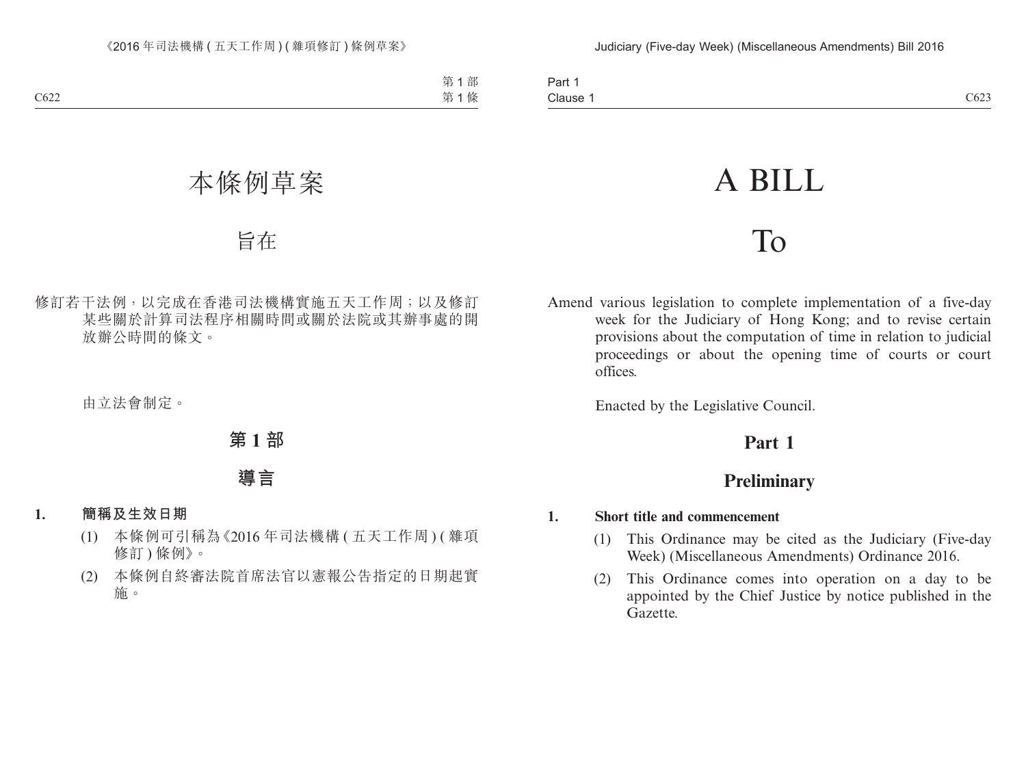# A BILL

# To

Amend various legislation to complete implementation of a five-day week for the Judiciary of Hong Kong; and to revise certain provisions about the computation of time in relation to judicial proceedings or about the opening time of courts or court offices.

Enacted by the Legislative Council.

# **Part 1**

# **Preliminary**

### **1. Short title and commencement**

- (1) This Ordinance may be cited as the Judiciary (Five-day Week) (Miscellaneous Amendments) Ordinance 2016.
- (2) This Ordinance comes into operation on a day to be appointed by the Chief Justice by notice published in the Gazette.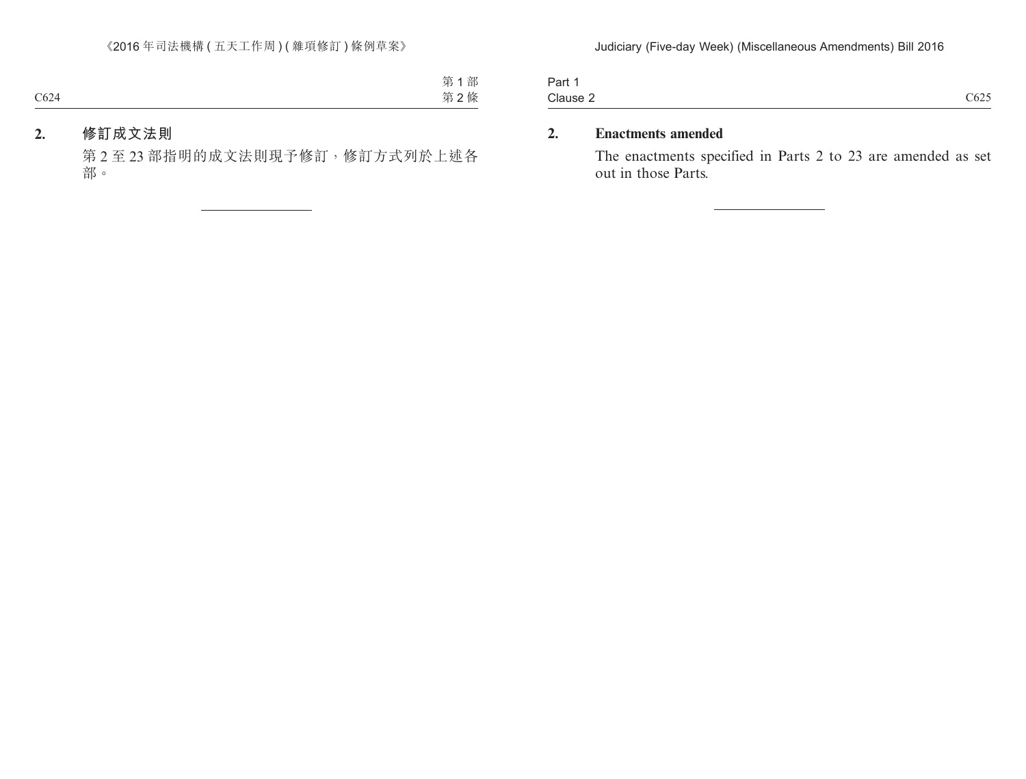| 0.625<br>Clause 2 | $\overline{\phantom{0}}$<br>Part |                 |
|-------------------|----------------------------------|-----------------|
|                   |                                  | CO <sub>2</sub> |

### **2. Enactments amended**

The enactments specified in Parts 2 to 23 are amended as set out in those Parts.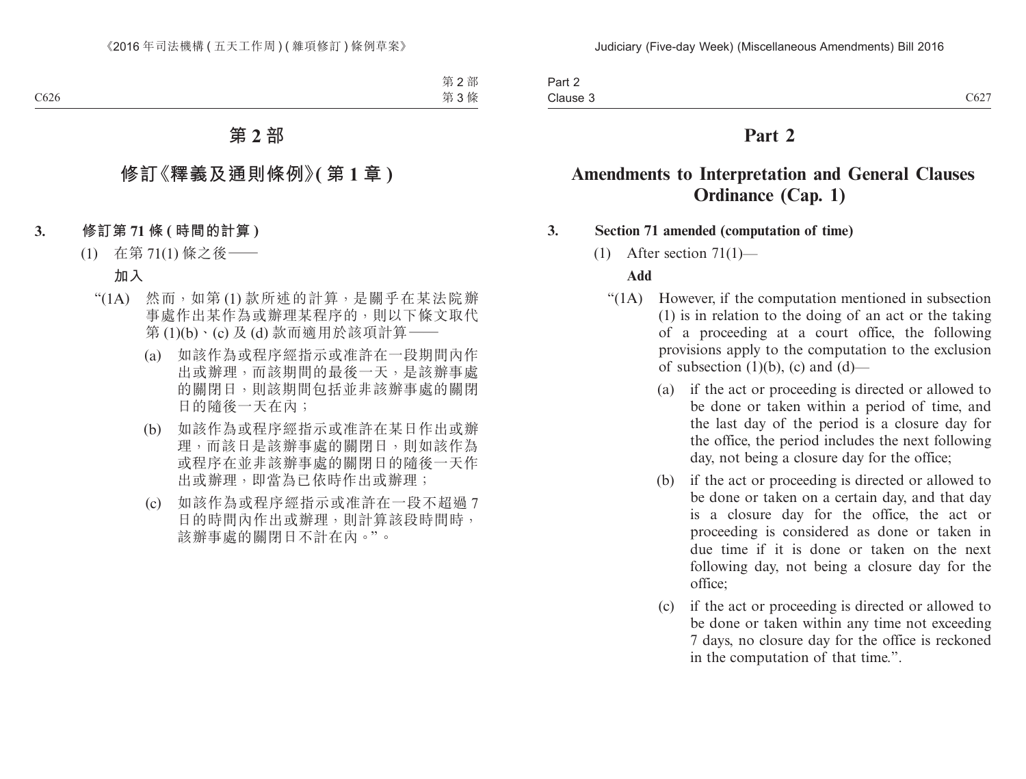Part 2 Clause 3 Clause 3  $C627$ 

### **Part 2**

### **Amendments to Interpretation and General Clauses Ordinance (Cap. 1)**

#### **3. Section 71 amended (computation of time)**

(1) After section  $71(1)$ —

#### **Add**

- "(1A) However, if the computation mentioned in subsection (1) is in relation to the doing of an act or the taking of a proceeding at a court office, the following provisions apply to the computation to the exclusion of subsection  $(1)(b)$ ,  $(c)$  and  $(d)$ —
	- (a) if the act or proceeding is directed or allowed to be done or taken within a period of time, and the last day of the period is a closure day for the office, the period includes the next following day, not being a closure day for the office;
	- (b) if the act or proceeding is directed or allowed to be done or taken on a certain day, and that day is a closure day for the office, the act or proceeding is considered as done or taken in due time if it is done or taken on the next following day, not being a closure day for the office;
	- (c) if the act or proceeding is directed or allowed to be done or taken within any time not exceeding 7 days, no closure day for the office is reckoned in the computation of that time.".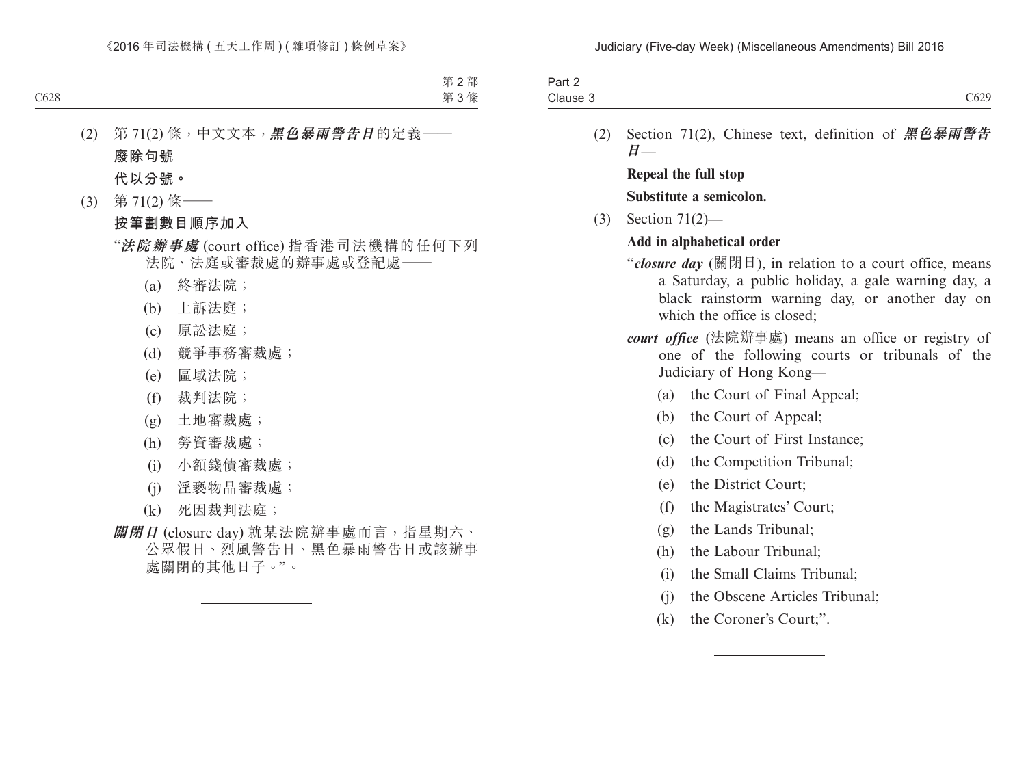| $. \,$ $\sim$<br>ail Z |      |
|------------------------|------|
| Clause 3               | C629 |

(2) Section 71(2), Chinese text, definition of **黑色暴雨警告 日**—

**Repeal the full stop Substitute a semicolon.**

(3) Section 71(2)—

### **Add in alphabetical order**

- "*closure day* (關閉日), in relation to a court office, means a Saturday, a public holiday, a gale warning day, a black rainstorm warning day, or another day on which the office is closed:
- *court office* (法院辦事處) means an office or registry of one of the following courts or tribunals of the Judiciary of Hong Kong—
	- (a) the Court of Final Appeal;
	- (b) the Court of Appeal;
	- (c) the Court of First Instance;
	- (d) the Competition Tribunal;
	- (e) the District Court;
	- (f) the Magistrates' Court;
	- (g) the Lands Tribunal;
	- (h) the Labour Tribunal;
	- (i) the Small Claims Tribunal;
	- (j) the Obscene Articles Tribunal;
	- (k) the Coroner's Court;".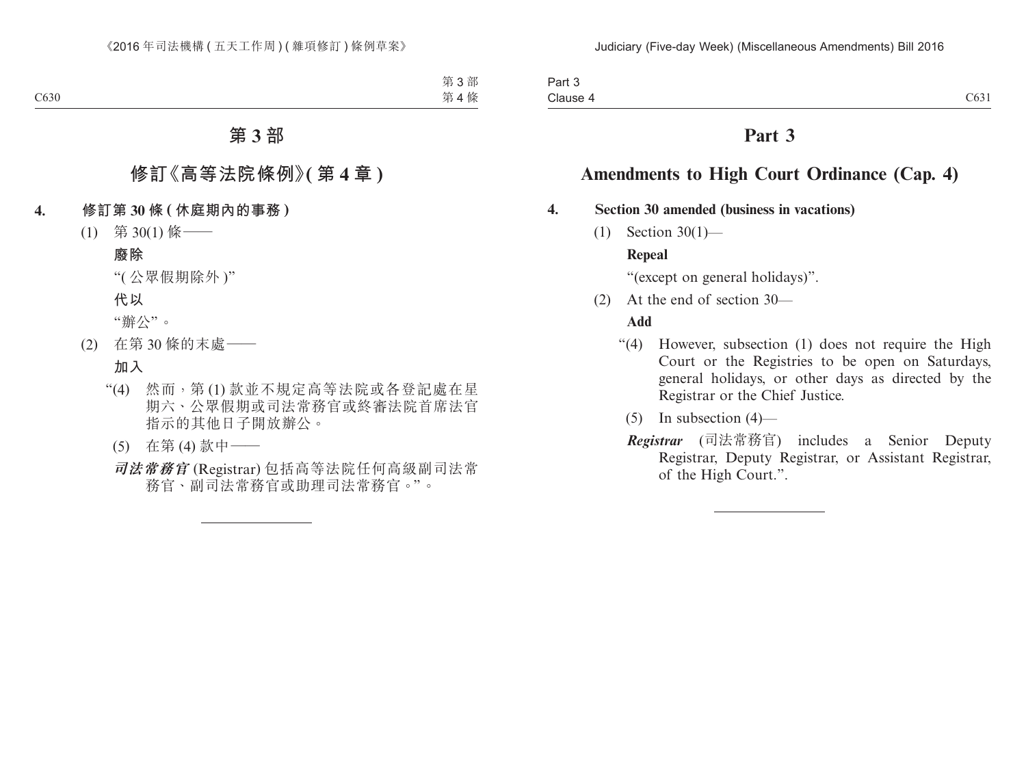# **Amendments to High Court Ordinance (Cap. 4)**

### **4. Section 30 amended (business in vacations)**

(1) Section 30(1)—

### **Repeal**

"(except on general holidays)".

(2) At the end of section 30—

### **Add**

- "(4) However, subsection (1) does not require the High Court or the Registries to be open on Saturdays, general holidays, or other days as directed by the Registrar or the Chief Justice.
	- $(5)$  In subsection  $(4)$ —
	- *Registrar* (司法常務官) includes a Senior Deputy Registrar, Deputy Registrar, or Assistant Registrar, of the High Court.".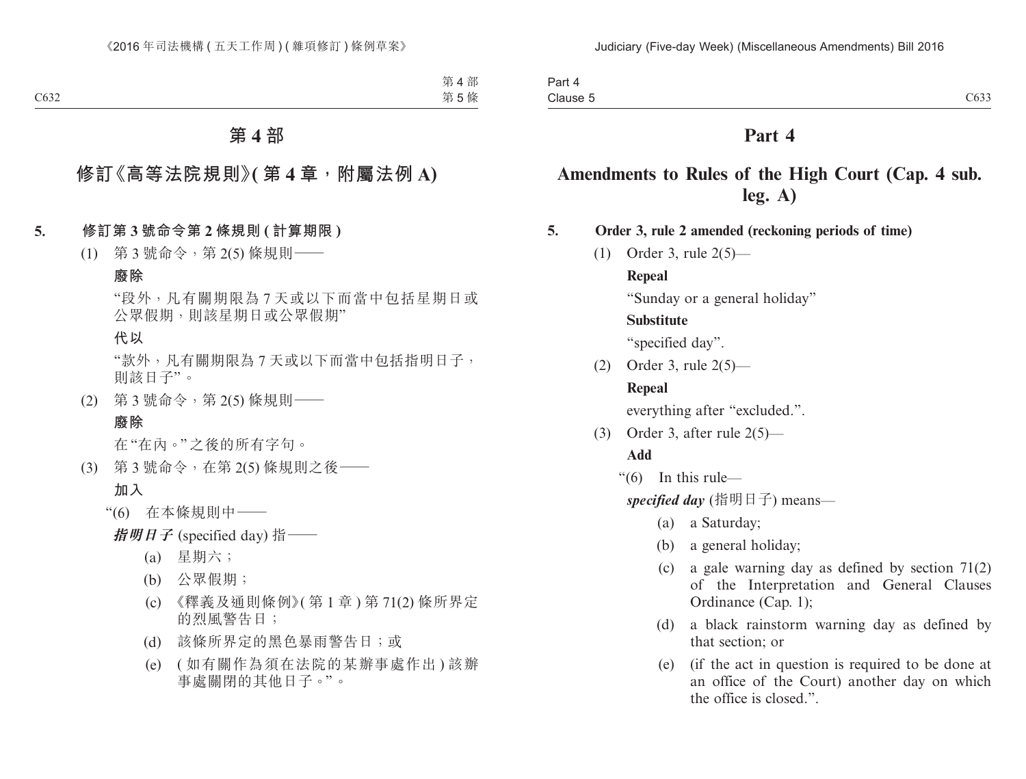| $\sim$<br>Part 4 |                   |
|------------------|-------------------|
| Clause 5         | $\sim$ 00<br>C633 |

# **Amendments to Rules of the High Court (Cap. 4 sub. leg. A)**

**5. Order 3, rule 2 amended (reckoning periods of time)**

(1) Order 3, rule 2(5)—

#### **Repeal**

"Sunday or a general holiday"

#### **Substitute**

"specified day".

(2) Order 3, rule 2(5)—

### **Repeal**

everything after "excluded.".

(3) Order 3, after rule 2(5)—

### **Add**

"(6) In this rule—

*specified day* (指明日子) means—

- (a) a Saturday;
- (b) a general holiday;
- (c) a gale warning day as defined by section 71(2) of the Interpretation and General Clauses Ordinance (Cap. 1);
- (d) a black rainstorm warning day as defined by that section; or
- (e) (if the act in question is required to be done at an office of the Court) another day on which the office is closed.".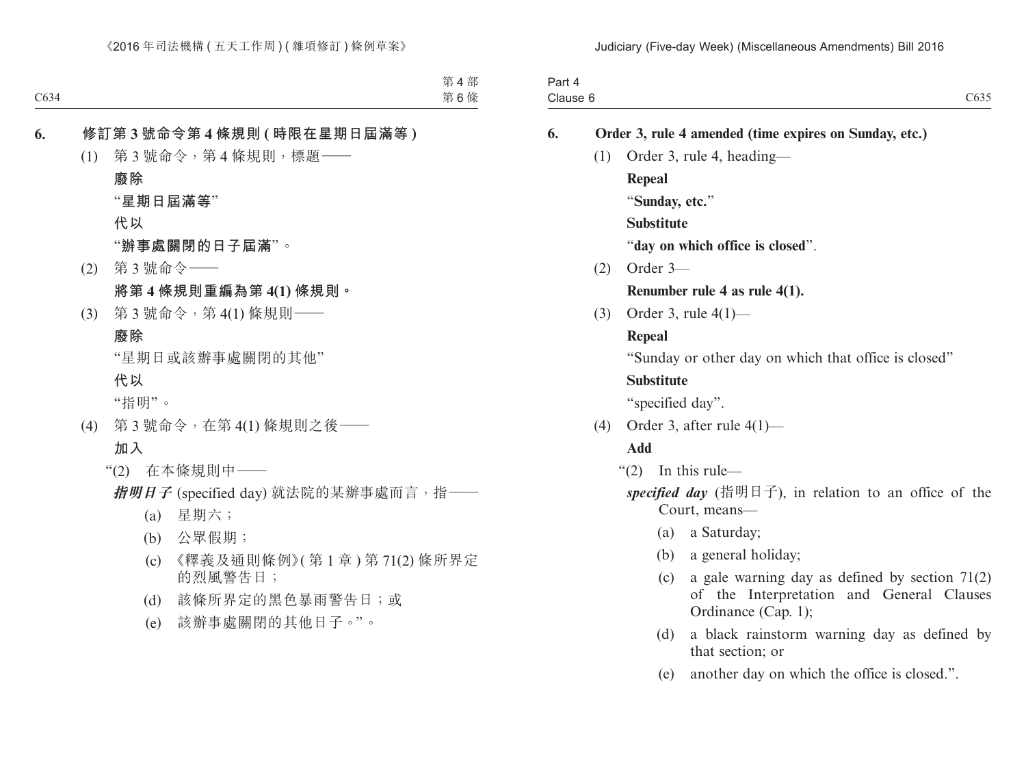| Part 4<br>Clause 6 |     |                   | C635                                                                                                                        |
|--------------------|-----|-------------------|-----------------------------------------------------------------------------------------------------------------------------|
| 6.                 |     |                   | Order 3, rule 4 amended (time expires on Sunday, etc.)                                                                      |
|                    | (1) |                   | Order 3, rule 4, heading—                                                                                                   |
|                    |     | Repeal            |                                                                                                                             |
|                    |     |                   | "Sunday, etc."                                                                                                              |
|                    |     | <b>Substitute</b> |                                                                                                                             |
|                    |     |                   | "day on which office is closed".                                                                                            |
|                    | (2) | Order 3-          |                                                                                                                             |
|                    |     |                   | Renumber rule 4 as rule $4(1)$ .                                                                                            |
|                    | (3) |                   | Order 3, rule $4(1)$ —                                                                                                      |
|                    |     | Repeal            |                                                                                                                             |
|                    |     |                   | "Sunday or other day on which that office is closed"                                                                        |
|                    |     | <b>Substitute</b> |                                                                                                                             |
|                    |     |                   | "specified day".                                                                                                            |
|                    | (4) |                   | Order 3, after rule $4(1)$ —                                                                                                |
|                    |     | <b>Add</b>        |                                                                                                                             |
|                    |     | (2)               | In this rule-                                                                                                               |
|                    |     |                   | specified day (指明日子), in relation to an office of the<br>Court, means-                                                      |
|                    |     |                   | a Saturday;<br>(a)                                                                                                          |
|                    |     |                   | a general holiday;<br>(b)                                                                                                   |
|                    |     |                   | a gale warning day as defined by section $71(2)$<br>(c)<br>of the Interpretation and General Clauses<br>Ordinance (Cap. 1); |
|                    |     |                   | a black rainstorm warning day as defined by<br>(d)<br>that section; or                                                      |

(e) another day on which the office is closed.".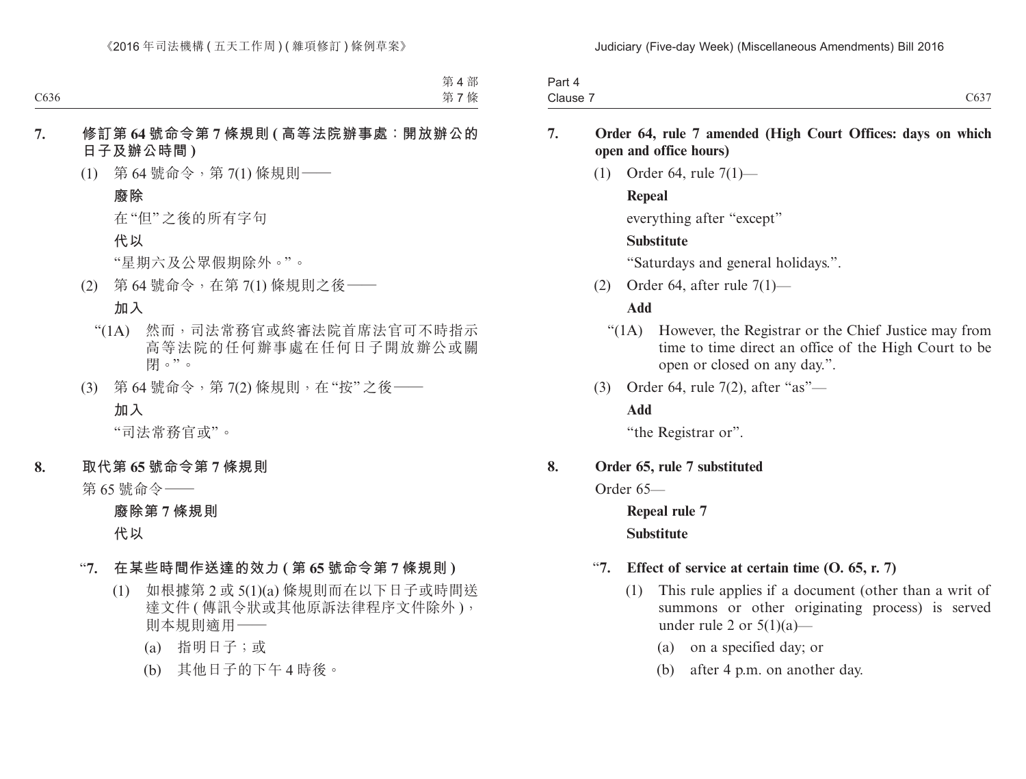| Pan<br>$\overline{ }$ |                                                             |
|-----------------------|-------------------------------------------------------------|
| Clause                | $\sim$ $\sim$ $\sim$<br>$\cup$ <sup><math>\cup</math></sup> |

- **7. Order 64, rule 7 amended (High Court Offices: days on which open and office hours)**
	- (1) Order 64, rule 7(1)—

### **Repeal**

everything after "except"

### **Substitute**

"Saturdays and general holidays.".

(2) Order 64, after rule 7(1)—

### **Add**

- "(1A) However, the Registrar or the Chief Justice may from time to time direct an office of the High Court to be open or closed on any day.".
- (3) Order 64, rule 7(2), after "as"—

### **Add**

"the Registrar or".

### **8. Order 65, rule 7 substituted**

Order 65—

**Repeal rule 7 Substitute**

### "**7. Effect of service at certain time (O. 65, r. 7)**

- (1) This rule applies if a document (other than a writ of summons or other originating process) is served under rule 2 or  $5(1)(a)$ —
	- (a) on a specified day; or
	- (b) after 4 p.m. on another day.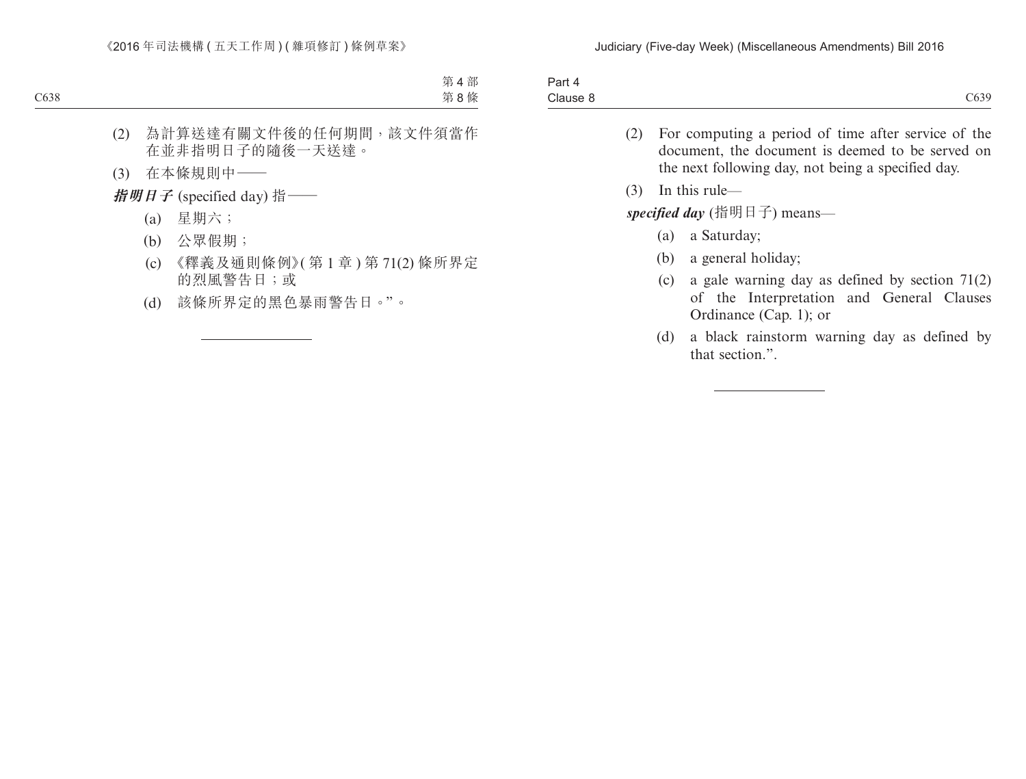| <b>STATES OF STREET</b><br>. In the<br>$\mathbf{u}$<br>∽art |      |
|-------------------------------------------------------------|------|
| $\bigcap$<br>- C<br>Clause 8                                | C639 |

- (2) For computing a period of time after service of the document, the document is deemed to be served on the next following day, not being a specified day.
- (3) In this rule—

*specified day* (指明日子) means—

- (a) a Saturday;
- (b) a general holiday;
- (c) a gale warning day as defined by section 71(2) of the Interpretation and General Clauses Ordinance (Cap. 1); or
- (d) a black rainstorm warning day as defined by that section.".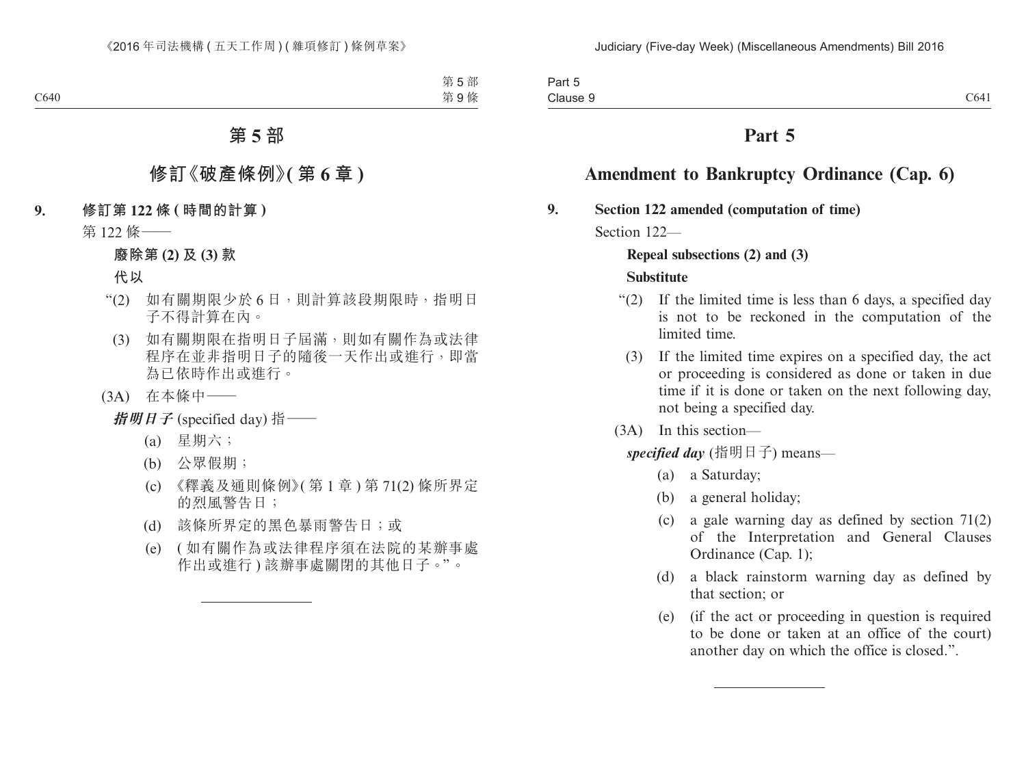# **Amendment to Bankruptcy Ordinance (Cap. 6)**

**9. Section 122 amended (computation of time)**

Section 122-

### **Repeal subsections (2) and (3)**

### **Substitute**

- "(2) If the limited time is less than 6 days, a specified day is not to be reckoned in the computation of the limited time.
	- (3) If the limited time expires on a specified day, the act or proceeding is considered as done or taken in due time if it is done or taken on the next following day, not being a specified day.
- (3A) In this section—

*specified day* (指明日子) means—

- (a) a Saturday;
- (b) a general holiday;
- (c) a gale warning day as defined by section 71(2) of the Interpretation and General Clauses Ordinance (Cap. 1);
- (d) a black rainstorm warning day as defined by that section; or
- (e) (if the act or proceeding in question is required to be done or taken at an office of the court) another day on which the office is closed.".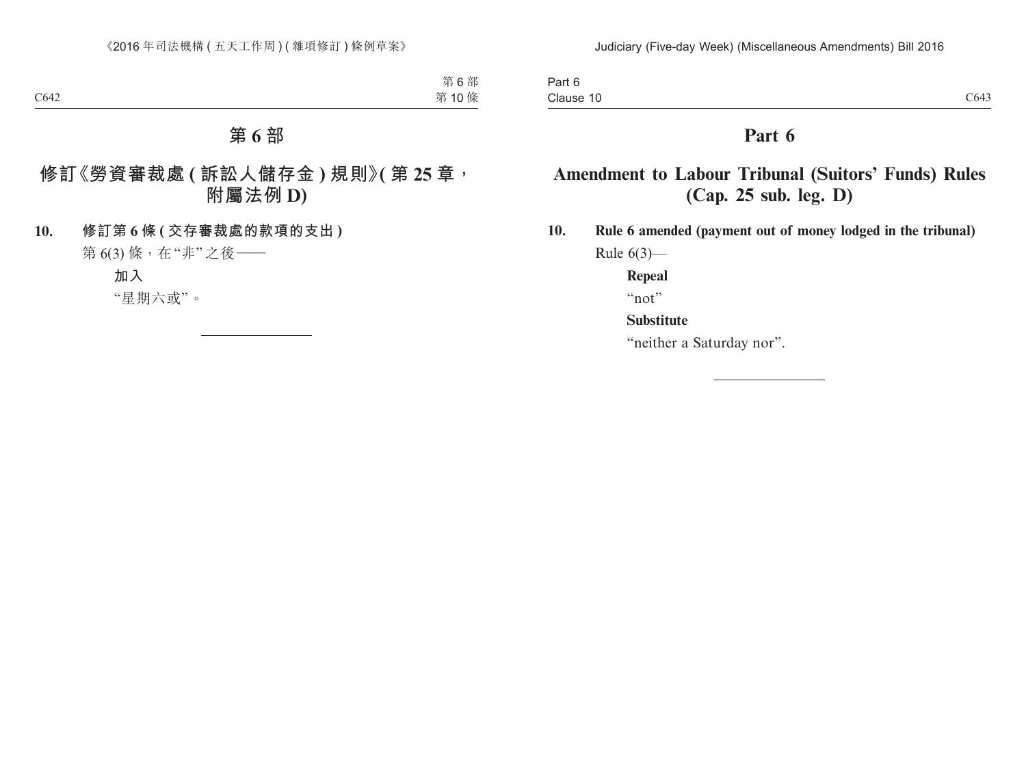Part 6 Clause 10  $C1$  Clause 10  $C643$ 

### **Part 6**

# **Amendment to Labour Tribunal (Suitors' Funds) Rules (Cap. 25 sub. leg. D)**

**10. Rule 6 amended (payment out of money lodged in the tribunal)** Rule  $6(3)$ —

**Repeal**

"not"

### **Substitute**

"neither a Saturday nor".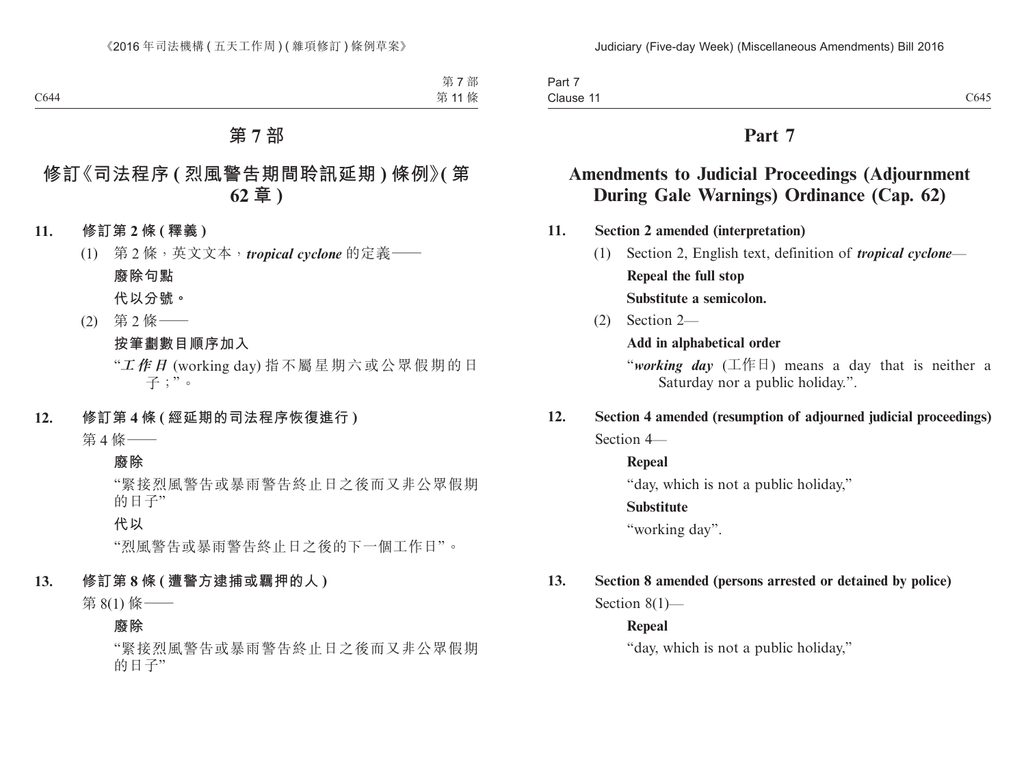| Part,                 |      |
|-----------------------|------|
| Clause 1 <sup>.</sup> | C645 |

# **Amendments to Judicial Proceedings (Adjournment During Gale Warnings) Ordinance (Cap. 62)**

**11. Section 2 amended (interpretation)**

- (1) Section 2, English text, definition of *tropical cyclone* **Repeal the full stop Substitute a semicolon.**
- (2) Section 2—

**Add in alphabetical order**

"*working day* (工作日) means a day that is neither a Saturday nor a public holiday.".

**12. Section 4 amended (resumption of adjourned judicial proceedings)** Section 4—

**Repeal**

"day, which is not a public holiday,"

### **Substitute**

"working day".

### **13. Section 8 amended (persons arrested or detained by police)**

Section 8(1)—

### **Repeal**

"day, which is not a public holiday,"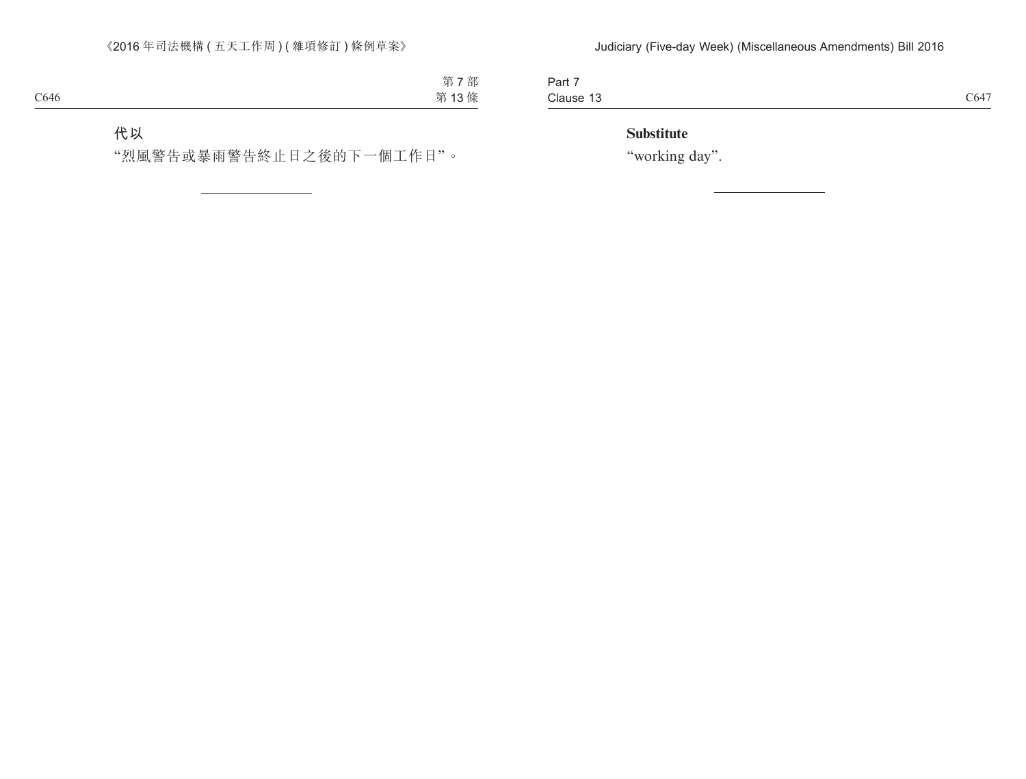Part 7 Clause 13 Clause 13  $C647$ 

### **Substitute**

"working day".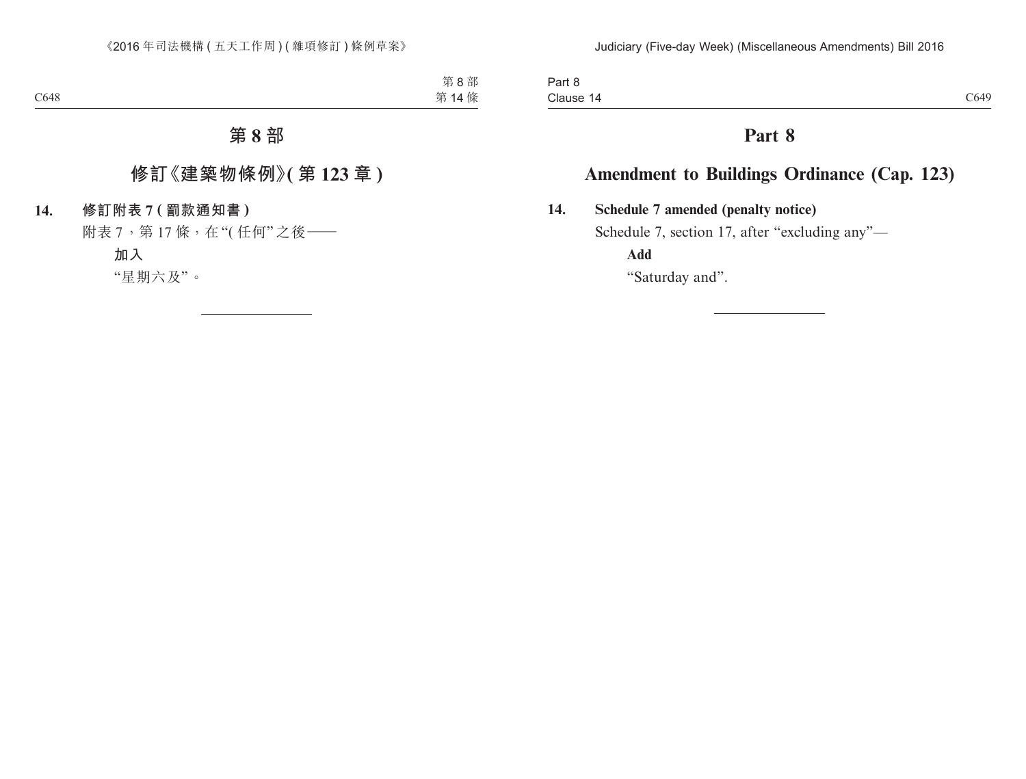# **Amendment to Buildings Ordinance (Cap. 123)**

**14. Schedule 7 amended (penalty notice)**

Schedule 7, section 17, after "excluding any"—

**Add**

"Saturday and".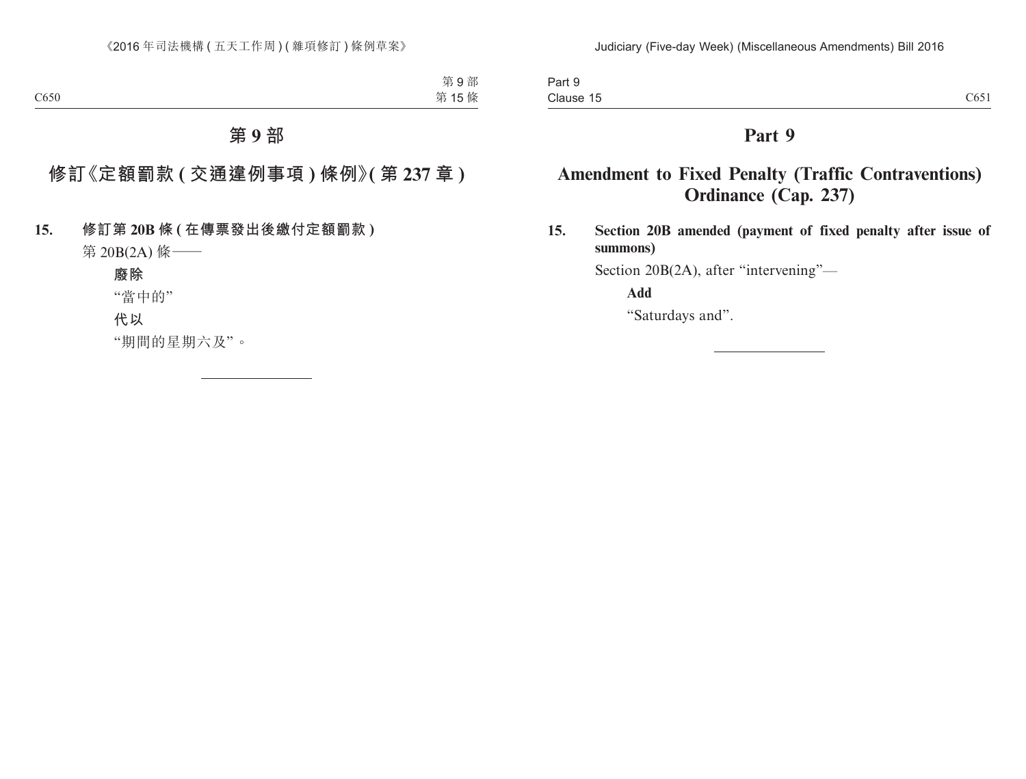Part 9 Clause 15 Clause  $15$  C651

### **Part 9**

# **Amendment to Fixed Penalty (Traffic Contraventions) Ordinance (Cap. 237)**

**15. Section 20B amended (payment of fixed penalty after issue of summons)**

Section 20B(2A), after "intervening"—

**Add**

"Saturdays and".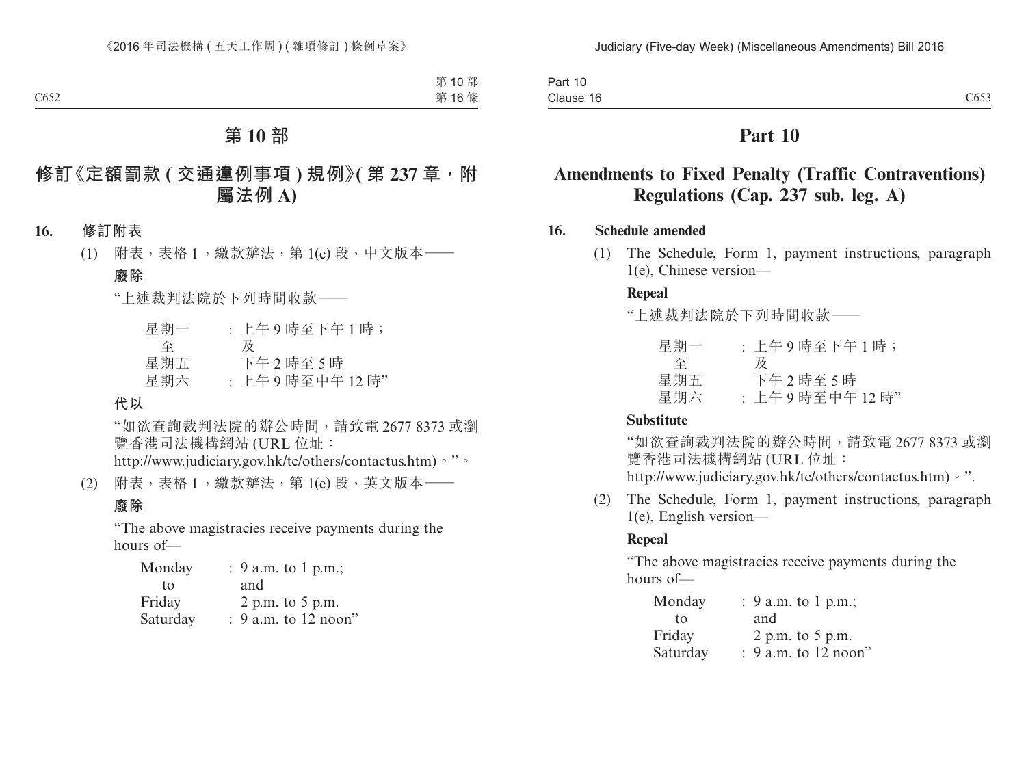| Part 10          |      |
|------------------|------|
| - -<br>Clause 16 | C653 |

# **Amendments to Fixed Penalty (Traffic Contraventions) Regulations (Cap. 237 sub. leg. A)**

### **16. Schedule amended**

(1) The Schedule, Form 1, payment instructions, paragraph 1(e), Chinese version—

### **Repeal**

"上述裁判法院於下列時間收款——

| 星期一 | : 上午9時至下午1時;  |
|-----|---------------|
| 全   | ₩             |
| 星期五 | 下午2時至5時       |
| 星期六 | : 上午9時至中午12時" |

#### **Substitute**

"如欲查詢裁判法院的辦公時間,請致電 2677 8373 或瀏 覽香港司法機構網站 (URL 位址: http://www.judiciary.gov.hk/tc/others/contactus.htm)。".

(2) The Schedule, Form 1, payment instructions, paragraph 1(e), English version—

### **Repeal**

"The above magistracies receive payments during the hours of—

| Monday   | : 9 a.m. to 1 p.m.;  |
|----------|----------------------|
| tο       | and                  |
| Friday   | 2 p.m. to 5 p.m.     |
| Saturday | : 9 a.m. to 12 noon" |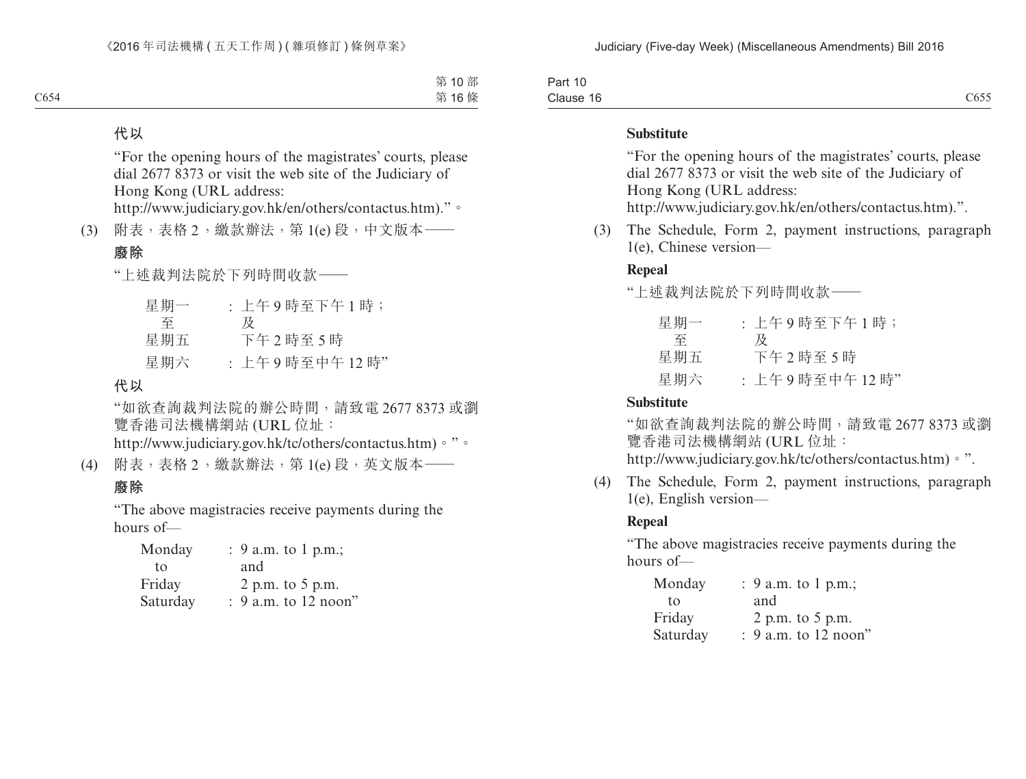| _<br>Part<br>-11<br>- I U |                                               |
|---------------------------|-----------------------------------------------|
| Clause<br>- 10            | $\sim$ $\sim$ $\sim$<br>$h^{\star}$<br>$\sim$ |

#### **Substitute**

"For the opening hours of the magistrates' courts, please dial 2677 8373 or visit the web site of the Judiciary of Hong Kong (URL address:

http://www.judiciary.gov.hk/en/others/contactus.htm).".

(3) The Schedule, Form 2, payment instructions, paragraph 1(e), Chinese version—

### **Repeal**

"上述裁判法院於下列時間收款——

| 星期一 | : 上午9時至下午1時;  |
|-----|---------------|
| 至   | 及             |
| 星期五 | 下午2時至5時       |
| 星期六 | : 上午9時至中午12時" |

#### **Substitute**

"如欲查詢裁判法院的辦公時間,請致電 2677 8373 或瀏 覽香港司法機構網站 (URL 位址: http://www.judiciary.gov.hk/tc/others/contactus.htm)。".

- 
- (4) The Schedule, Form 2, payment instructions, paragraph 1(e), English version—

#### **Repeal**

"The above magistracies receive payments during the hours of—

| Monday   | : 9 a.m. to 1 p.m.;    |
|----------|------------------------|
| tο       | and                    |
| Friday   | 2 p.m. to 5 p.m.       |
| Saturday | $: 9$ a.m. to 12 noon" |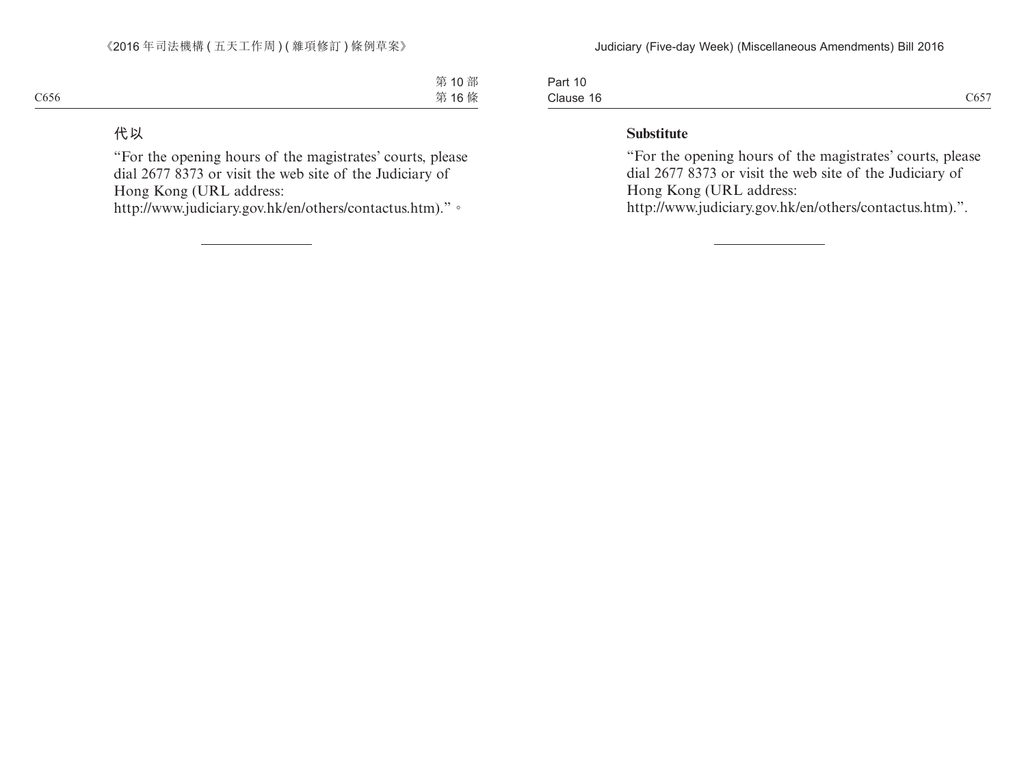| Part 10   |      |
|-----------|------|
| Clause 16 | C657 |

#### **Substitute**

"For the opening hours of the magistrates' courts, please dial 2677 8373 or visit the web site of the Judiciary of Hong Kong (URL address:

http://www.judiciary.gov.hk/en/others/contactus.htm).".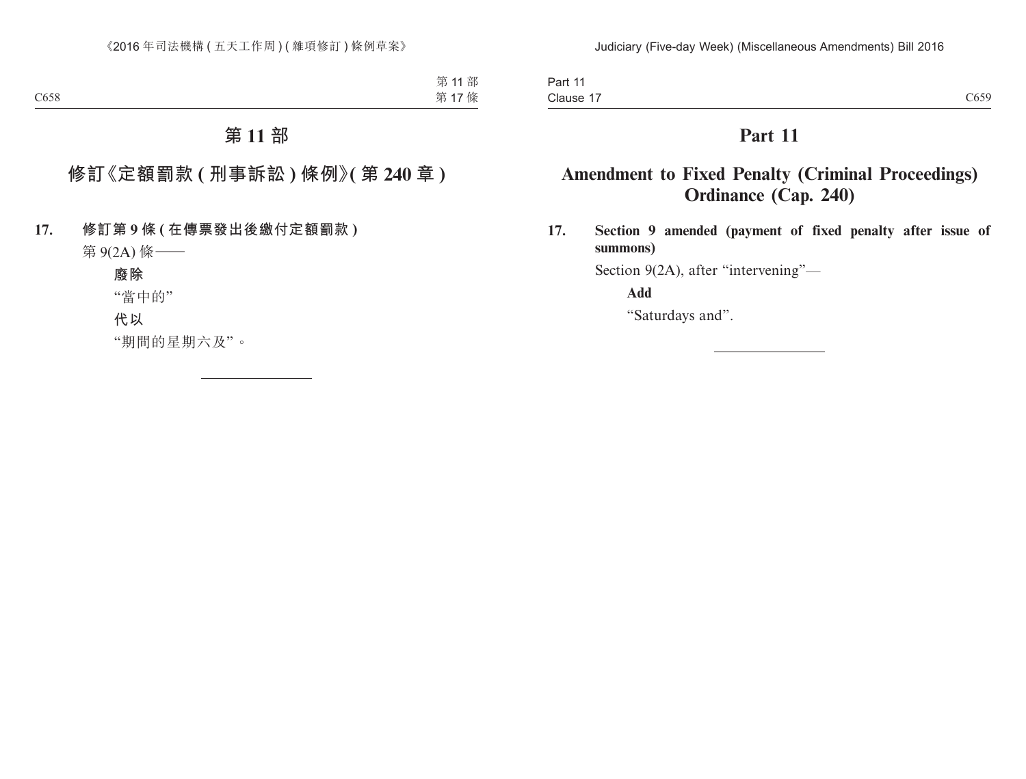Part 11 Clause 17 Clause 17  $C659$ 

# **Part 11**

# **Amendment to Fixed Penalty (Criminal Proceedings) Ordinance (Cap. 240)**

**17. Section 9 amended (payment of fixed penalty after issue of summons)**

Section 9(2A), after "intervening"—

**Add**

"Saturdays and".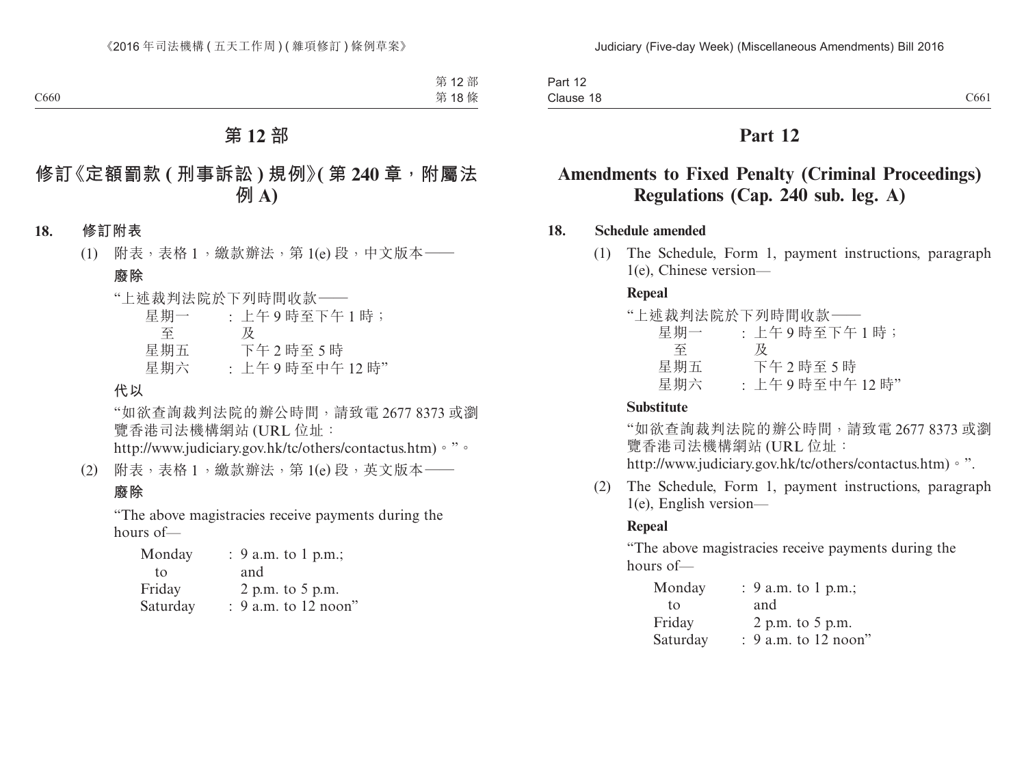Part 12 Clause 18 Clause  $18$  C661

### **Part 12**

# **Amendments to Fixed Penalty (Criminal Proceedings) Regulations (Cap. 240 sub. leg. A)**

### **18. Schedule amended**

(1) The Schedule, Form 1, payment instructions, paragraph 1(e), Chinese version—

#### **Repeal**

|     | "上述裁判法院於下列時間收款–– |
|-----|------------------|
| 星期一 | : 上午9時至下午1時;     |
| 至   | 及                |
| 星期五 | 下午2時至5時          |
| 星期六 | : 上午9時至中午12時"    |

### **Substitute**

"如欲查詢裁判法院的辦公時間,請致電 2677 8373 或瀏 覽香港司法機構網站 (URL 位址:

http://www.judiciary.gov.hk/tc/others/contactus.htm)。".

(2) The Schedule, Form 1, payment instructions, paragraph 1(e), English version—

#### **Repeal**

"The above magistracies receive payments during the hours of—

| Monday   | : 9 a.m. to 1 p.m.;    |
|----------|------------------------|
| tο       | and                    |
| Friday   | 2 p.m. to $5$ p.m.     |
| Saturday | $: 9$ a.m. to 12 noon" |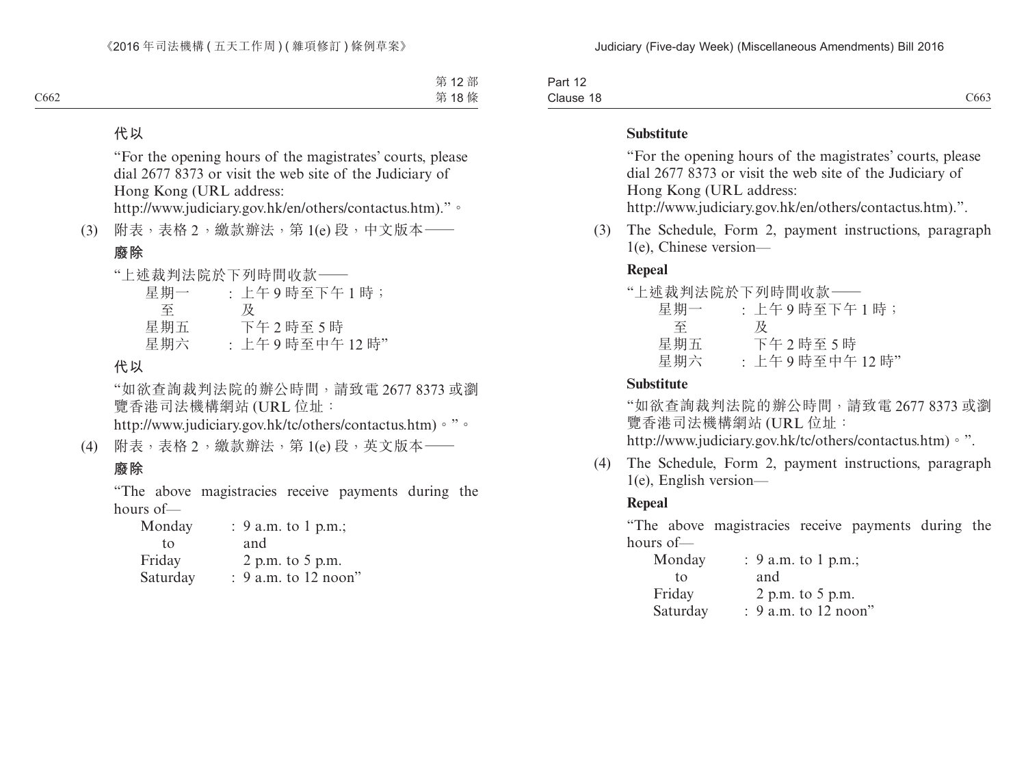| Part<br>.                               |                                   |
|-----------------------------------------|-----------------------------------|
| Clause<br>$\overline{\phantom{a}}$<br>. | $\sim$ $\sim$ $\sim$<br>$C_{003}$ |

#### **Substitute**

"For the opening hours of the magistrates' courts, please dial 2677 8373 or visit the web site of the Judiciary of Hong Kong (URL address:

http://www.judiciary.gov.hk/en/others/contactus.htm).".

(3) The Schedule, Form 2, payment instructions, paragraph 1(e), Chinese version—

### **Repeal**

|     | "上述裁判法院於下列時間收款—— |
|-----|------------------|
| 星期一 | : 上午9時至下午1時;     |
| 至   | 及                |
| 星期五 | 下午2時至5時          |
| 星期六 | : 上午9時至中午12時"    |

#### **Substitute**

"如欲查詢裁判法院的辦公時間,請致電 2677 8373 或瀏 覽香港司法機構網站 (URL 位址: http://www.judiciary.gov.hk/tc/others/contactus.htm)。".

- (4) The Schedule, Form 2, payment instructions, paragraph
	- 1(e), English version—

#### **Repeal**

"The above magistracies receive payments during the hours of—

| Monday   | : 9 a.m. to 1 p.m.;  |
|----------|----------------------|
| tο       | and                  |
| Friday   | 2 p.m. to 5 p.m.     |
| Saturday | : 9 a.m. to 12 noon" |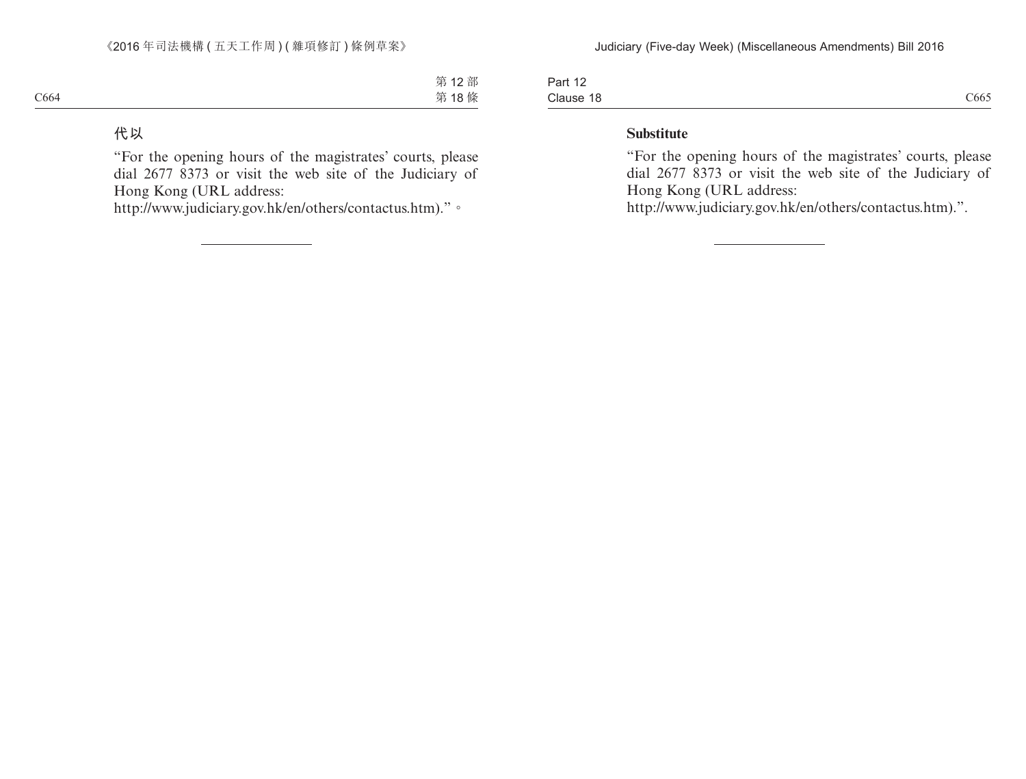| $\sqrt{2}$<br>Part 12 |      |
|-----------------------|------|
| Clause 18<br>-------- | C665 |

### **Substitute**

"For the opening hours of the magistrates' courts, please dial 2677 8373 or visit the web site of the Judiciary of Hong Kong (URL address:

http://www.judiciary.gov.hk/en/others/contactus.htm).".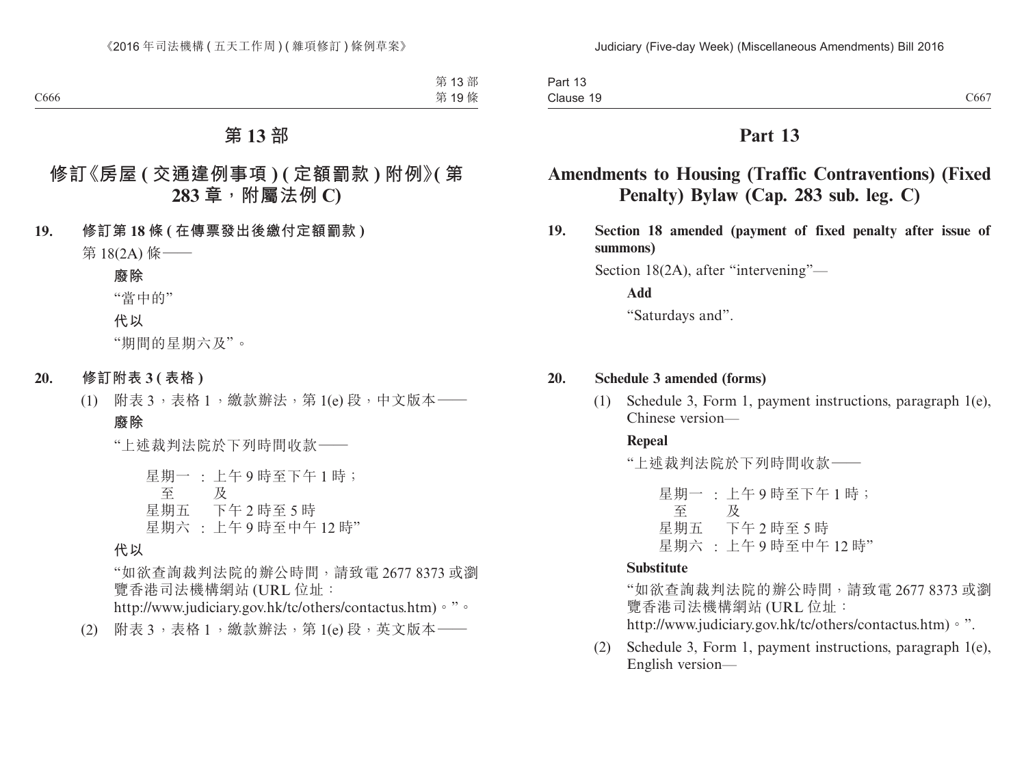| Part 13   |      |
|-----------|------|
| Clause 19 | C667 |

# **Amendments to Housing (Traffic Contraventions) (Fixed Penalty) Bylaw (Cap. 283 sub. leg. C)**

**19. Section 18 amended (payment of fixed penalty after issue of summons)**

Section 18(2A), after "intervening"—

**Add**

"Saturdays and".

#### **20. Schedule 3 amended (forms)**

(1) Schedule 3, Form 1, payment instructions, paragraph 1(e), Chinese version—

#### **Repeal**

"上述裁判法院於下列時間收款——

星期一 : 上午 9 時至下午 1 時; 至 星期五 下午 2 時至 5 時 及 星期六 : 上午 9 時至中午 12 時"

### **Substitute**

"如欲查詢裁判法院的辦公時間,請致電 2677 8373 或瀏 覽香港司法機構網站 (URL 位址: http://www.judiciary.gov.hk/tc/others/contactus.htm)。".

(2) Schedule 3, Form 1, payment instructions, paragraph 1(e), English version—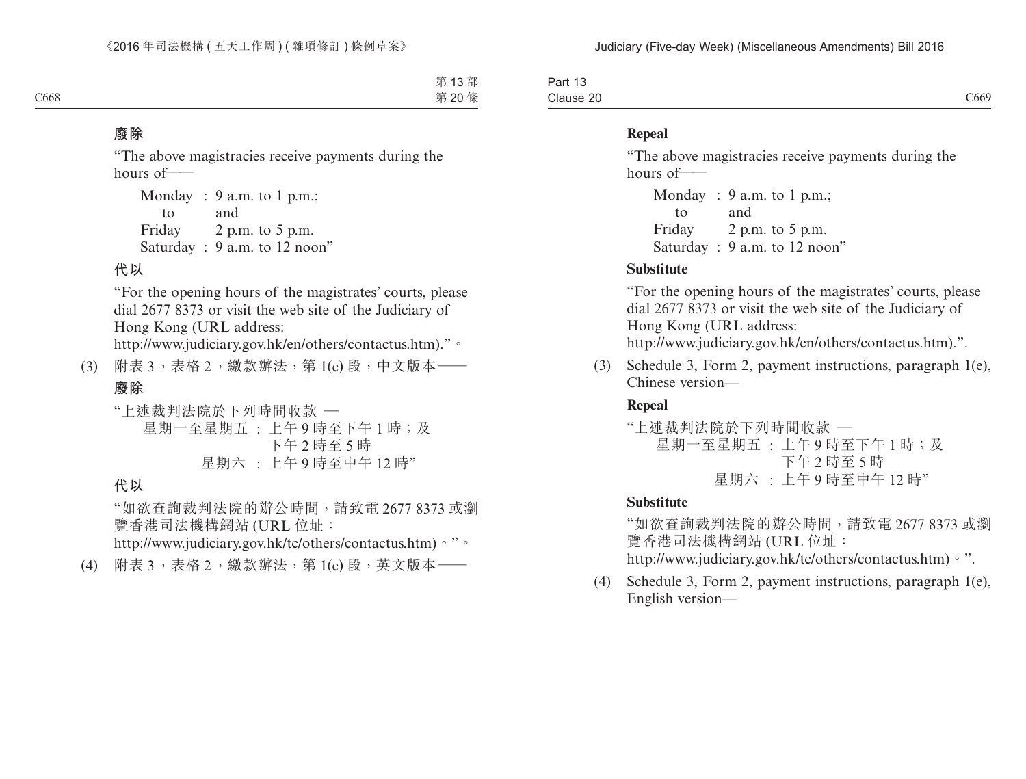| -<br>Part<br>$\overline{\phantom{a}}$ |                  |
|---------------------------------------|------------------|
| Clause 20                             | $\alpha$<br>C669 |

#### **Repeal**

"The above magistracies receive payments during the hours of——

```
Monday
: 9 a.m. to 1 p.m.;
   to
Friday
2 p.m. to 5 p.m.
      and
Saturday : 9 a.m. to 12 noon"
```
#### **Substitute**

"For the opening hours of the magistrates' courts, please dial 2677 8373 or visit the web site of the Judiciary of Hong Kong (URL address:

http://www.judiciary.gov.hk/en/others/contactus.htm).".

(3) Schedule 3, Form 2, payment instructions, paragraph 1(e), Chinese version—

### **Repeal**

"上述裁判法院於下列時間收款 — 星期一至星期五 : 上午 9 時至下午 1 時;及 下午 2 時至 5 時 星期六 : 上午 9 時至中午 12 時"

### **Substitute**

"如欲查詢裁判法院的辦公時間,請致電 2677 8373 或瀏 覽香港司法機構網站 (URL 位址: http://www.judiciary.gov.hk/tc/others/contactus.htm)。".

(4) Schedule 3, Form 2, payment instructions, paragraph 1(e), English version—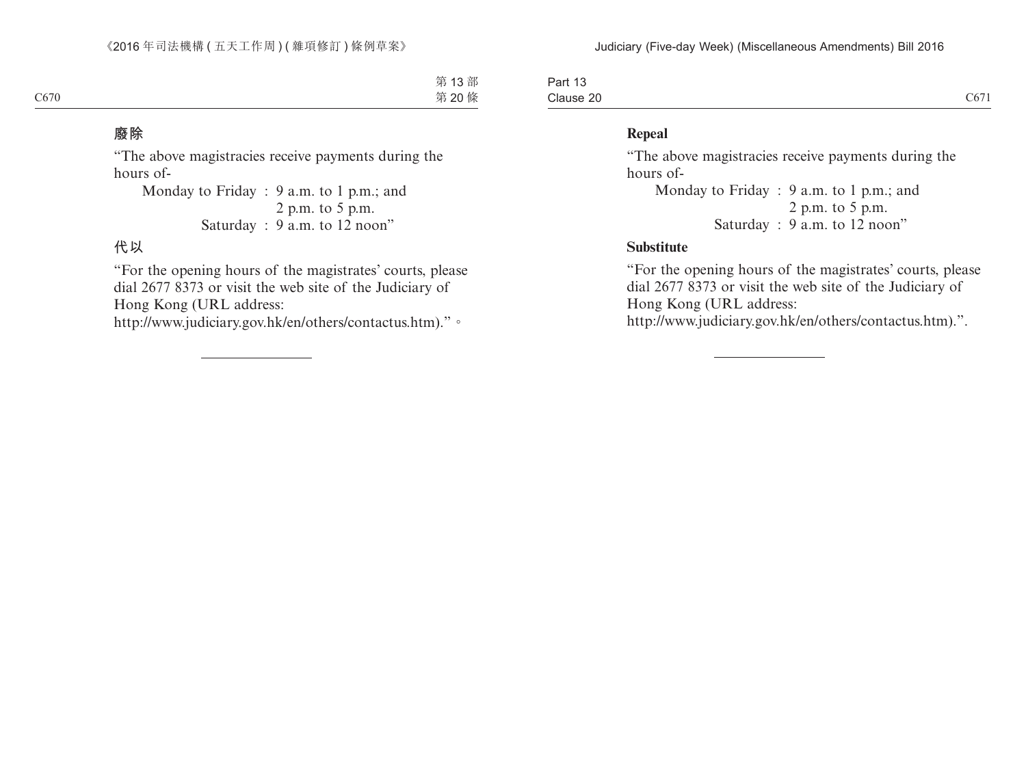| $\overline{\phantom{0}}$<br>$\overline{A}$<br>⊔ດ⊓†<br>Part 15 |                                     |
|---------------------------------------------------------------|-------------------------------------|
| Clause 20                                                     | $\sim$ $\sim$ $\sim$ $\sim$<br>CO/I |

### **Repeal**

"The above magistracies receive payments during the hours of-

Monday to Friday : 9 a.m. to 1 p.m.; and 2 p.m. to 5 p.m. Saturday : 9 a.m. to 12 noon"

#### **Substitute**

"For the opening hours of the magistrates' courts, please dial 2677 8373 or visit the web site of the Judiciary of Hong Kong (URL address:

http://www.judiciary.gov.hk/en/others/contactus.htm).".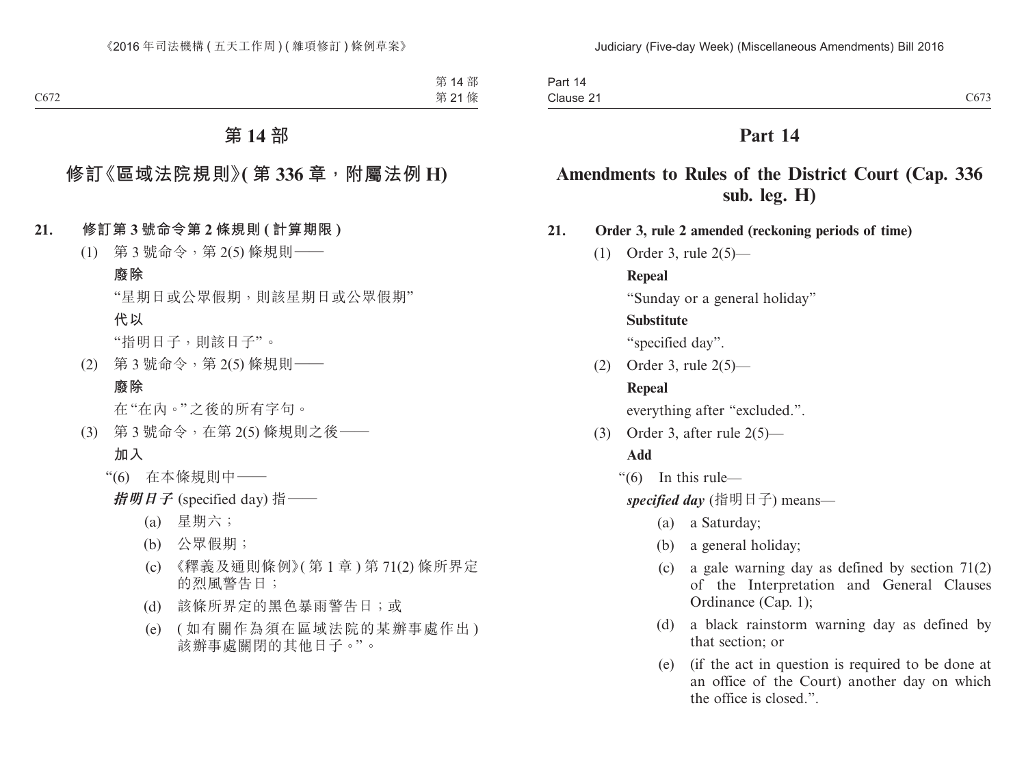### **Amendments to Rules of the District Court (Cap. 336 sub. leg. H)**

**21. Order 3, rule 2 amended (reckoning periods of time)**

(1) Order 3, rule 2(5)—

#### **Repeal**

"Sunday or a general holiday"

#### **Substitute**

"specified day".

(2) Order 3, rule 2(5)—

### **Repeal**

everything after "excluded.".

(3) Order 3, after rule 2(5)—

### **Add**

"(6) In this rule—

*specified day* (指明日子) means—

- (a) a Saturday;
- (b) a general holiday;
- (c) a gale warning day as defined by section 71(2) of the Interpretation and General Clauses Ordinance (Cap. 1);
- (d) a black rainstorm warning day as defined by that section; or
- (e) (if the act in question is required to be done at an office of the Court) another day on which the office is closed.".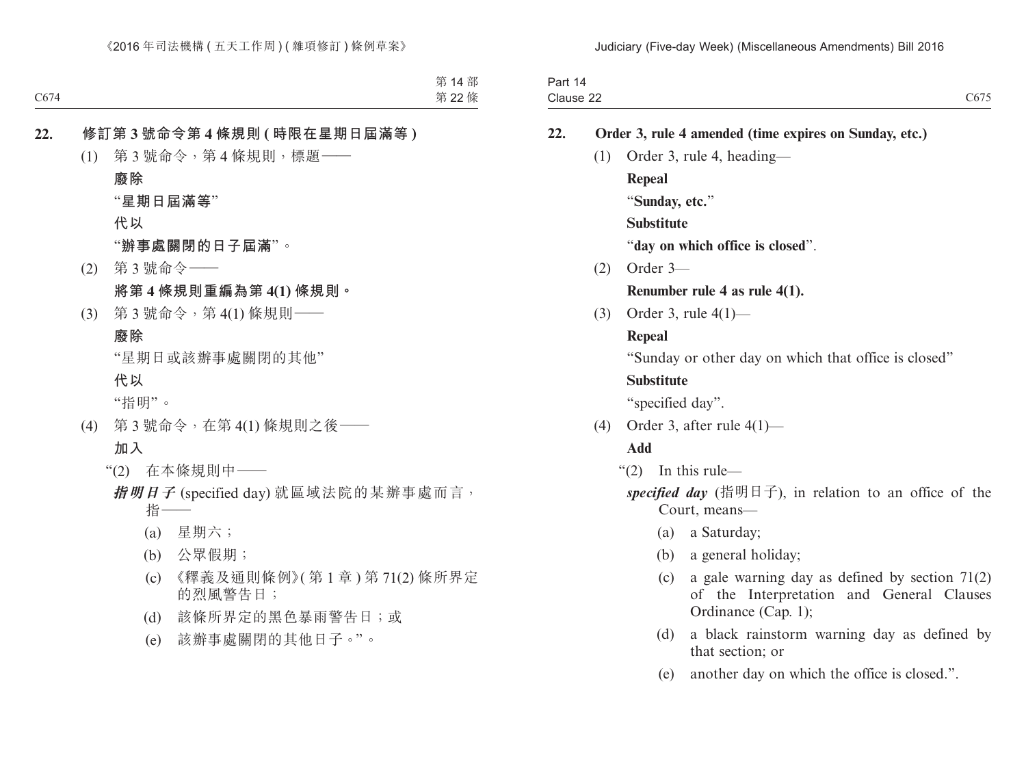| Order 3, rule 4 amended (time expires on Sunday, etc.)                                        |
|-----------------------------------------------------------------------------------------------|
|                                                                                               |
|                                                                                               |
|                                                                                               |
|                                                                                               |
|                                                                                               |
|                                                                                               |
|                                                                                               |
|                                                                                               |
|                                                                                               |
| "Sunday or other day on which that office is closed"                                          |
|                                                                                               |
|                                                                                               |
|                                                                                               |
|                                                                                               |
|                                                                                               |
| specified day (指明日子), in relation to an office of the                                         |
|                                                                                               |
|                                                                                               |
| a gale warning day as defined by section $71(2)$<br>of the Interpretation and General Clauses |

- (d) a black rainstorm warning day as defined by that section; or
- (e) another day on which the office is closed.".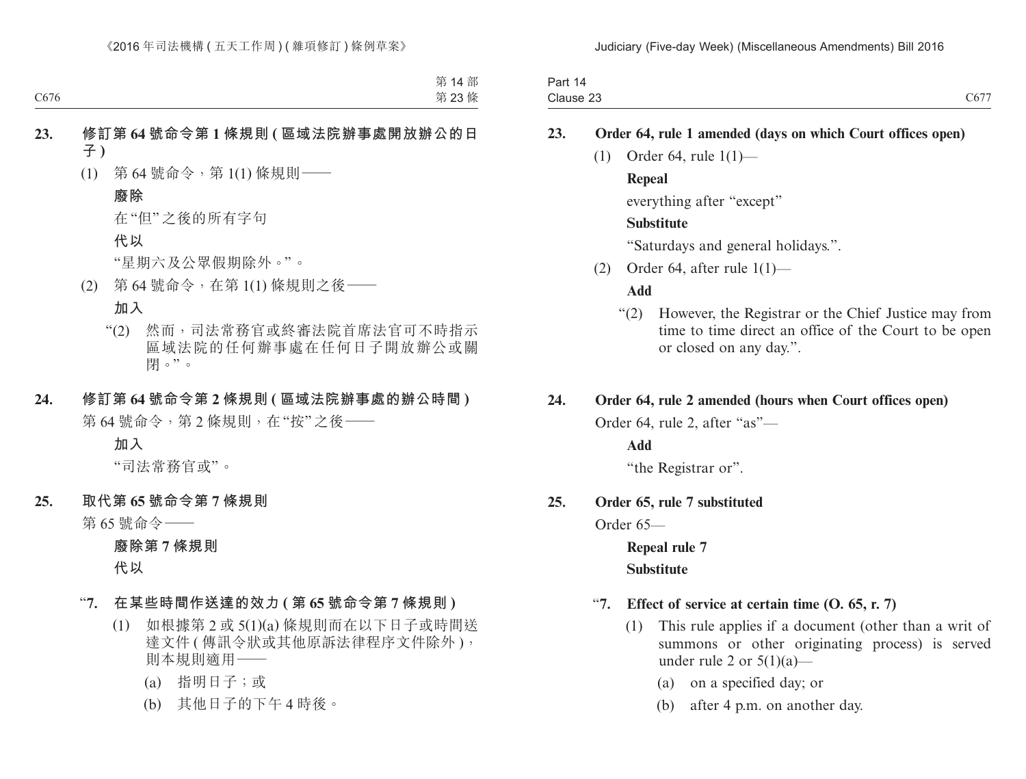| Part<br>14 |                                |
|------------|--------------------------------|
| Clause 23  | $\sim$ $\sim$ $\sim$<br>$C_0/$ |

### **23. Order 64, rule 1 amended (days on which Court offices open)**

(1) Order 64, rule 1(1)—

### **Repeal**

everything after "except"

### **Substitute**

"Saturdays and general holidays.".

(2) Order 64, after rule  $1(1)$ —

#### **Add**

"(2) However, the Registrar or the Chief Justice may from time to time direct an office of the Court to be open or closed on any day.".

#### **24. Order 64, rule 2 amended (hours when Court offices open)**

Order 64, rule 2, after "as"—

**Add**

"the Registrar or".

### **25. Order 65, rule 7 substituted**

Order 65—

**Repeal rule 7 Substitute**

### "**7. Effect of service at certain time (O. 65, r. 7)**

- (1) This rule applies if a document (other than a writ of summons or other originating process) is served under rule 2 or  $5(1)(a)$ —
	- (a) on a specified day; or
	- (b) after 4 p.m. on another day.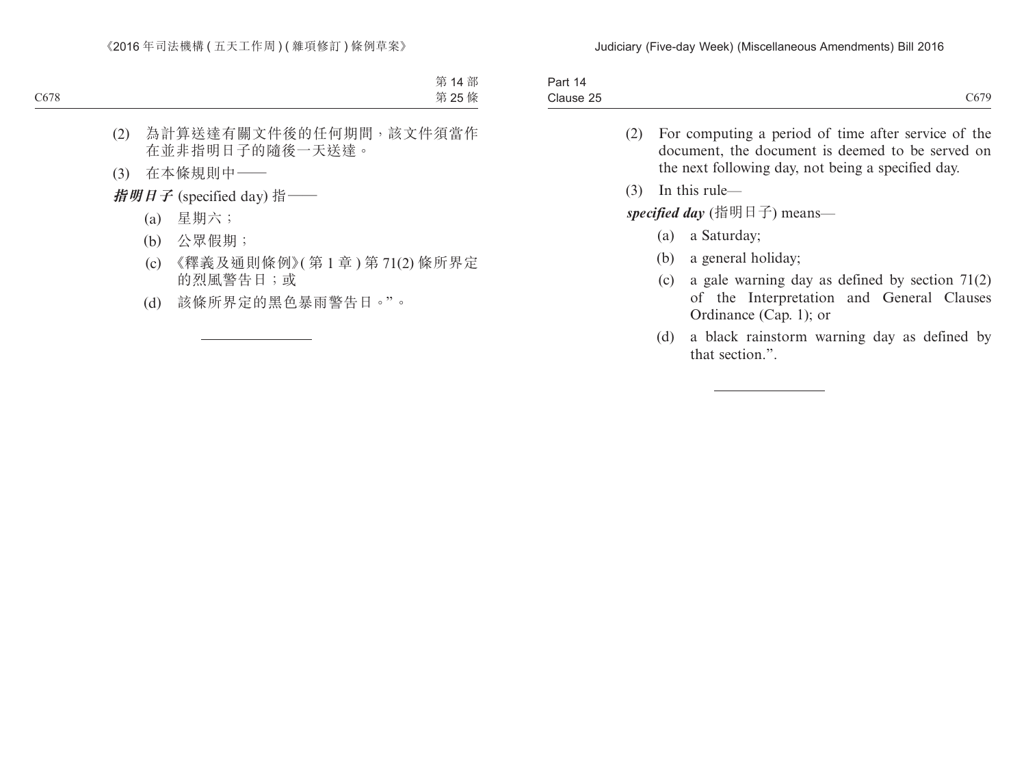| Part 1 <sub>5</sub> |      |
|---------------------|------|
| Clause 25           | C679 |

- (2) For computing a period of time after service of the document, the document is deemed to be served on the next following day, not being a specified day.
- (3) In this rule—

*specified day* (指明日子) means—

- (a) a Saturday;
- (b) a general holiday;
- (c) a gale warning day as defined by section 71(2) of the Interpretation and General Clauses Ordinance (Cap. 1); or
- (d) a black rainstorm warning day as defined by that section.".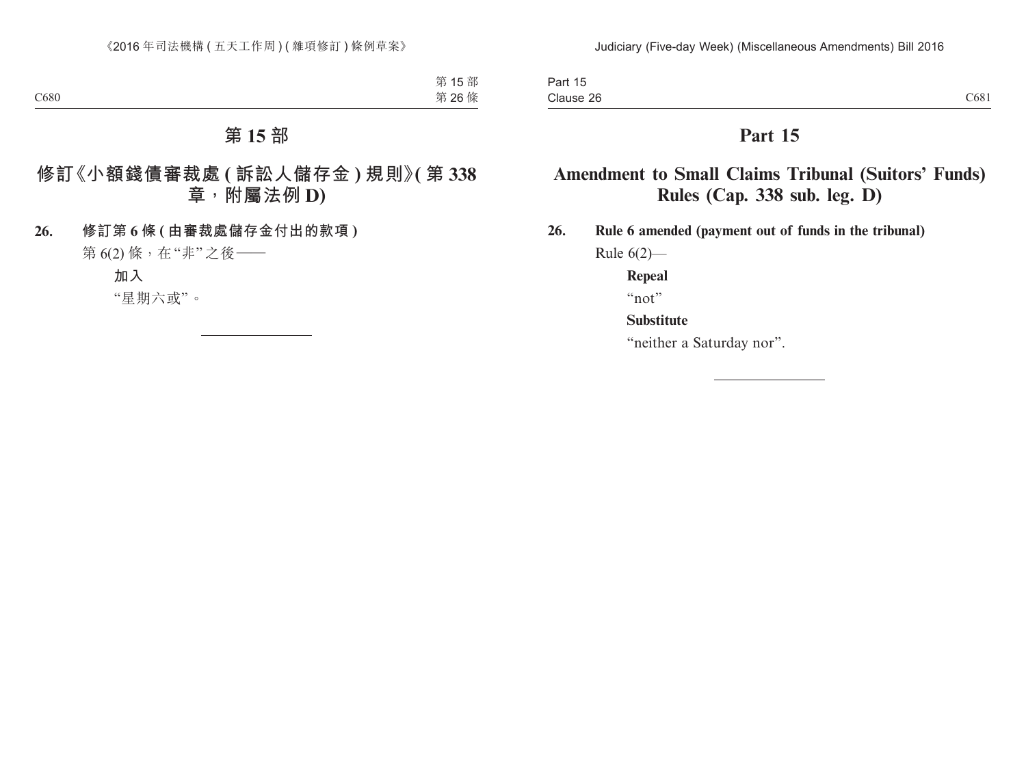# **Amendment to Small Claims Tribunal (Suitors' Funds) Rules (Cap. 338 sub. leg. D)**

**26. Rule 6 amended (payment out of funds in the tribunal)**

Rule 6(2)—

**Repeal**

"not"

### **Substitute**

"neither a Saturday nor".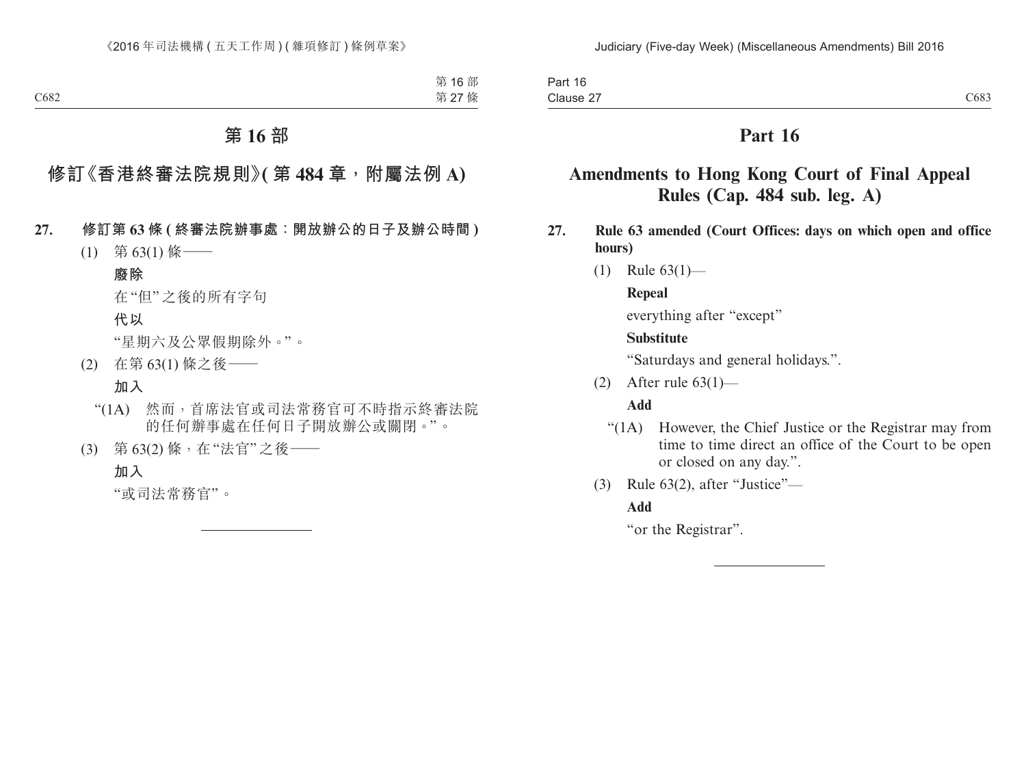# **Amendments to Hong Kong Court of Final Appeal Rules (Cap. 484 sub. leg. A)**

- **27. Rule 63 amended (Court Offices: days on which open and office hours)**
	- (1) Rule 63(1)—

### **Repeal**

everything after "except"

### **Substitute**

"Saturdays and general holidays.".

(2) After rule 63(1)—

### **Add**

- "(1A) However, the Chief Justice or the Registrar may from time to time direct an office of the Court to be open or closed on any day.".
- (3) Rule 63(2), after "Justice"—

### **Add**

"or the Registrar".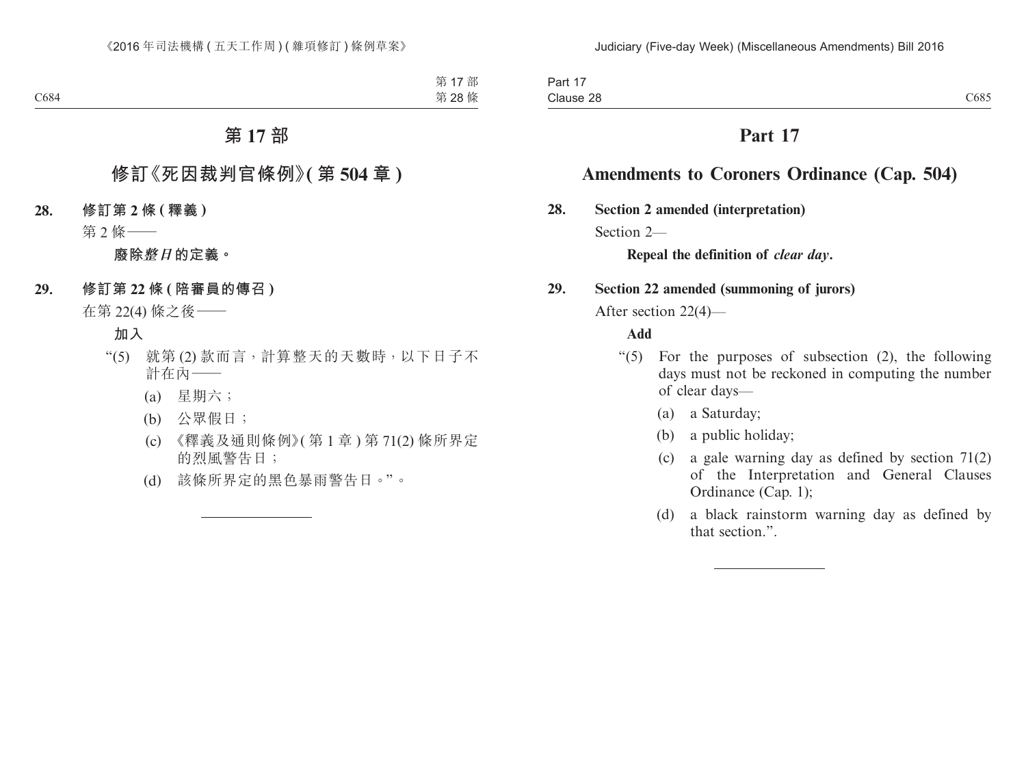# **Amendments to Coroners Ordinance (Cap. 504)**

**28. Section 2 amended (interpretation)**

Section 2<sub>—</sub>

**Repeal the definition of** *clear day***.**

### **29. Section 22 amended (summoning of jurors)**

After section 22(4)—

### **Add**

- " $(5)$  For the purposes of subsection  $(2)$ , the following days must not be reckoned in computing the number of clear days—
	- (a) a Saturday;
	- (b) a public holiday;
	- (c) a gale warning day as defined by section 71(2) of the Interpretation and General Clauses Ordinance (Cap. 1);
	- (d) a black rainstorm warning day as defined by that section.".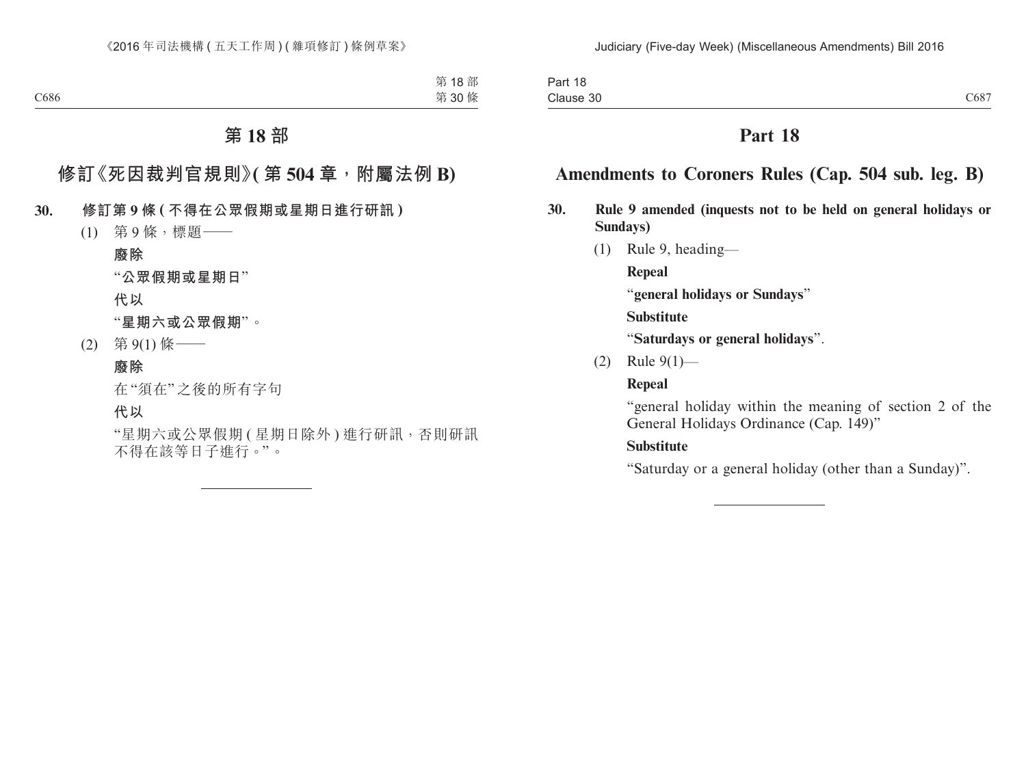# **Amendments to Coroners Rules (Cap. 504 sub. leg. B)**

- **30. Rule 9 amended (inquests not to be held on general holidays or Sundays)**
	- (1) Rule 9, heading—

**Repeal**

"**general holidays or Sundays**"

**Substitute**

"**Saturdays or general holidays**".

(2) Rule 9(1)—

### **Repeal**

"general holiday within the meaning of section 2 of the General Holidays Ordinance (Cap. 149)"

### **Substitute**

"Saturday or a general holiday (other than a Sunday)".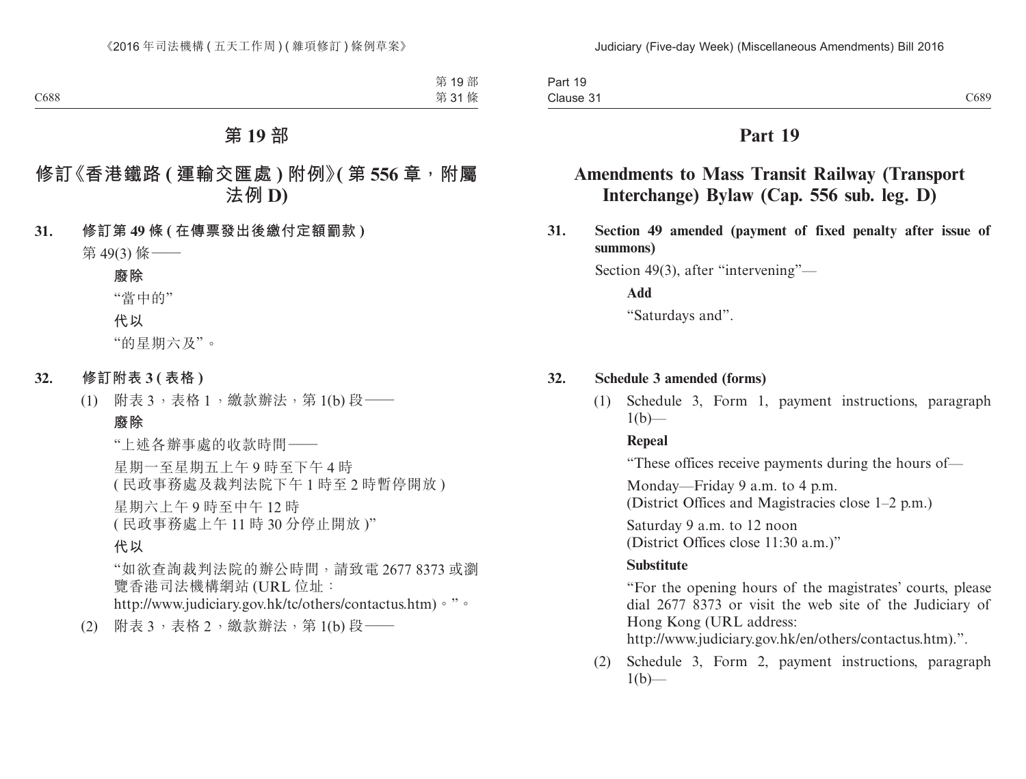# **Amendments to Mass Transit Railway (Transport Interchange) Bylaw (Cap. 556 sub. leg. D)**

**31. Section 49 amended (payment of fixed penalty after issue of summons)**

Section 49(3), after "intervening"—

**Add**

"Saturdays and".

### **32. Schedule 3 amended (forms)**

(1) Schedule 3, Form 1, payment instructions, paragraph  $1(b)$ —

### **Repeal**

"These offices receive payments during the hours of—

Monday—Friday 9 a.m. to 4 p.m. (District Offices and Magistracies close 1–2 p.m.)

Saturday 9 a.m. to 12 noon (District Offices close 11:30 a.m.)"

### **Substitute**

"For the opening hours of the magistrates' courts, please dial 2677 8373 or visit the web site of the Judiciary of Hong Kong (URL address:

http://www.judiciary.gov.hk/en/others/contactus.htm).".

(2) Schedule 3, Form 2, payment instructions, paragraph  $1(b)$ —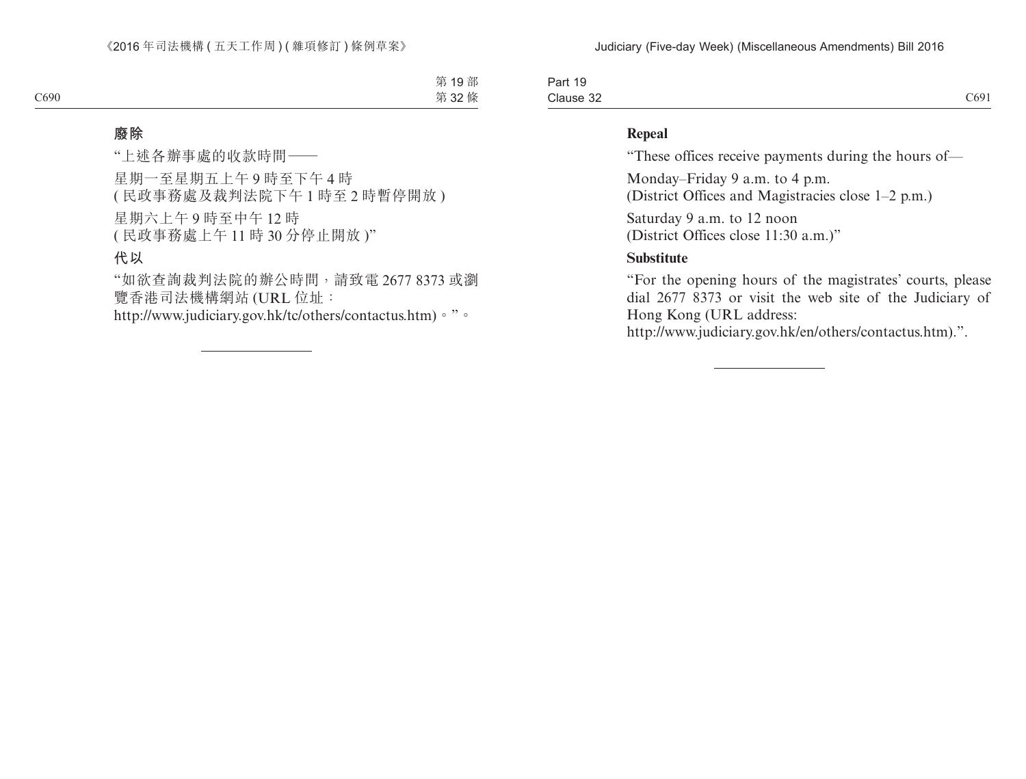Part 19 Clause 32  $C1$  Clause 32 C691

#### **Repeal**

"These offices receive payments during the hours of—

Monday–Friday 9 a.m. to 4 p.m.

(District Offices and Magistracies close 1–2 p.m.)

Saturday 9 a.m. to 12 noon (District Offices close 11:30 a.m.)"

### **Substitute**

"For the opening hours of the magistrates' courts, please dial 2677 8373 or visit the web site of the Judiciary of Hong Kong (URL address:

http://www.judiciary.gov.hk/en/others/contactus.htm).".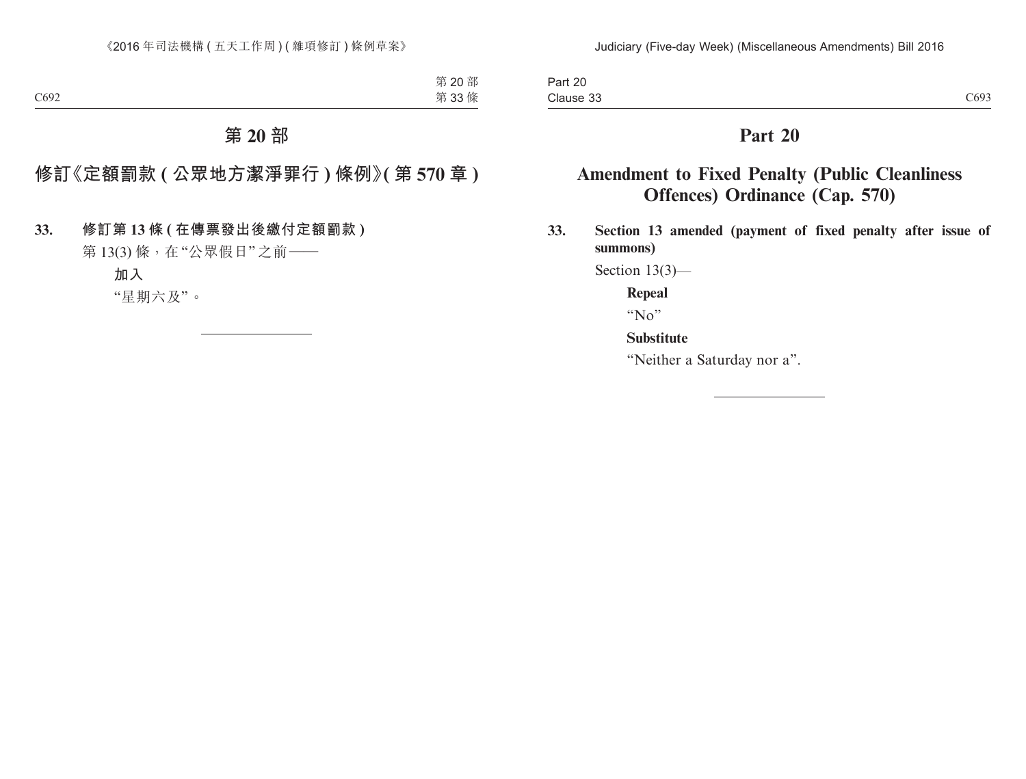# **Amendment to Fixed Penalty (Public Cleanliness Offences) Ordinance (Cap. 570)**

**33. Section 13 amended (payment of fixed penalty after issue of summons)**

Section 13(3)—

**Repeal**

"No"

**Substitute**

"Neither a Saturday nor a".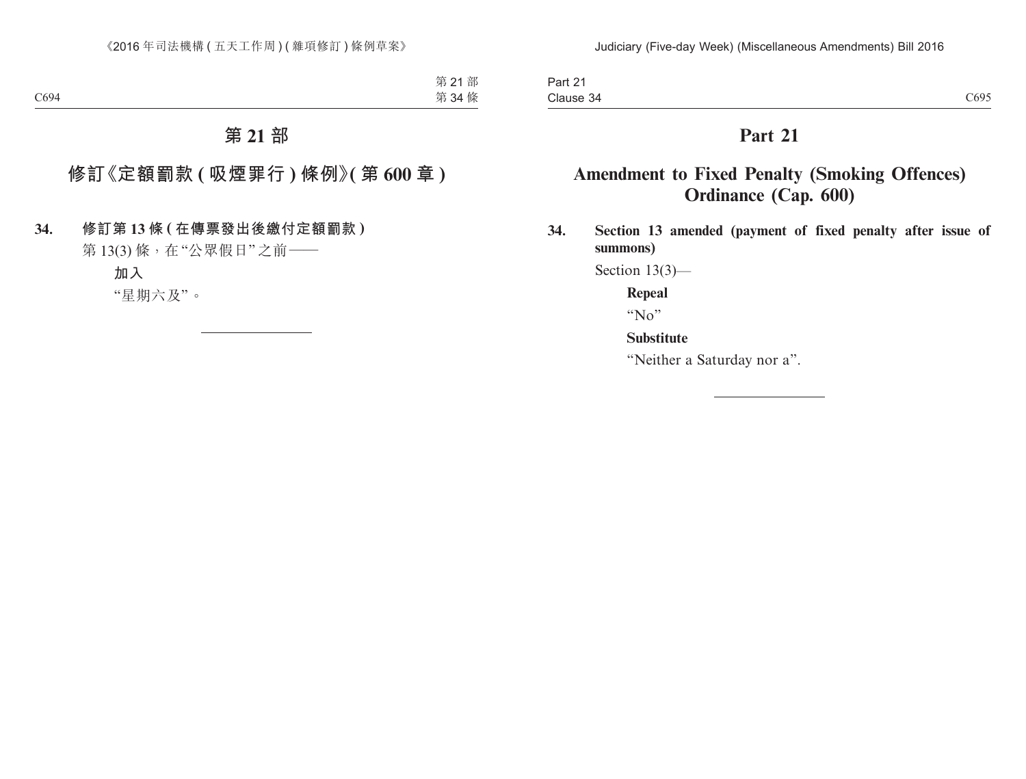# **Amendment to Fixed Penalty (Smoking Offences) Ordinance (Cap. 600)**

**34. Section 13 amended (payment of fixed penalty after issue of summons)**

Section 13(3)—

**Repeal**

"No"

**Substitute**

"Neither a Saturday nor a".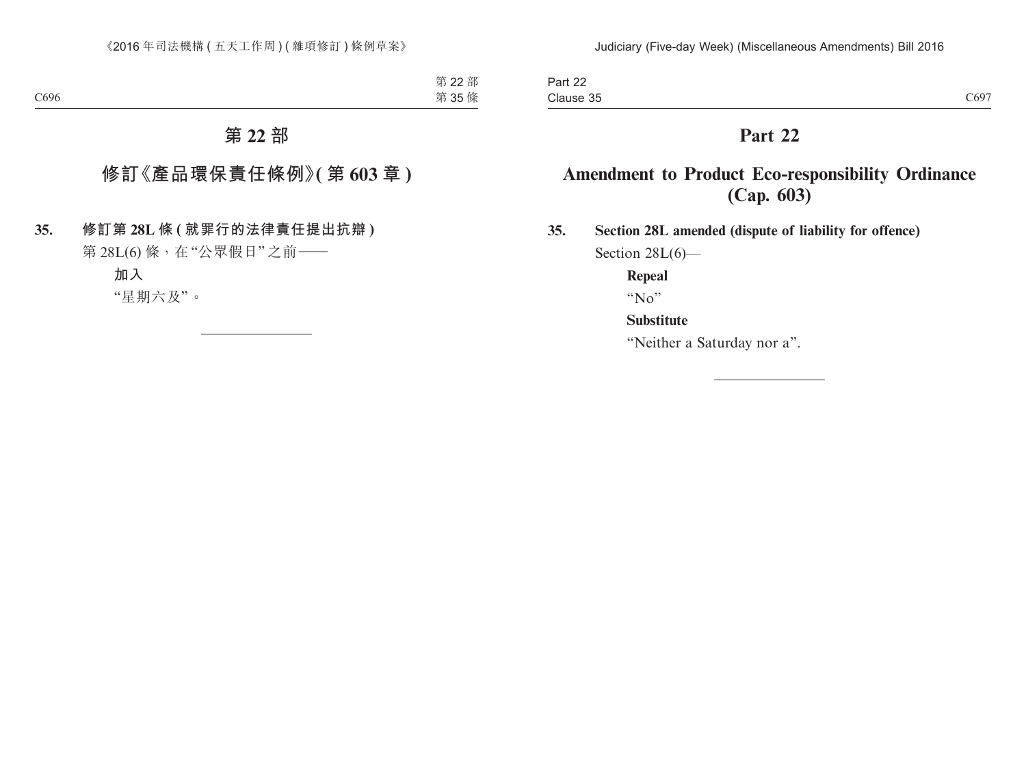### **Amendment to Product Eco-responsibility Ordinance (Cap. 603)**

**35. Section 28L amended (dispute of liability for offence)** Section 28L(6)-

**Repeal**

" $N_0$ "

### **Substitute**

"Neither a Saturday nor a".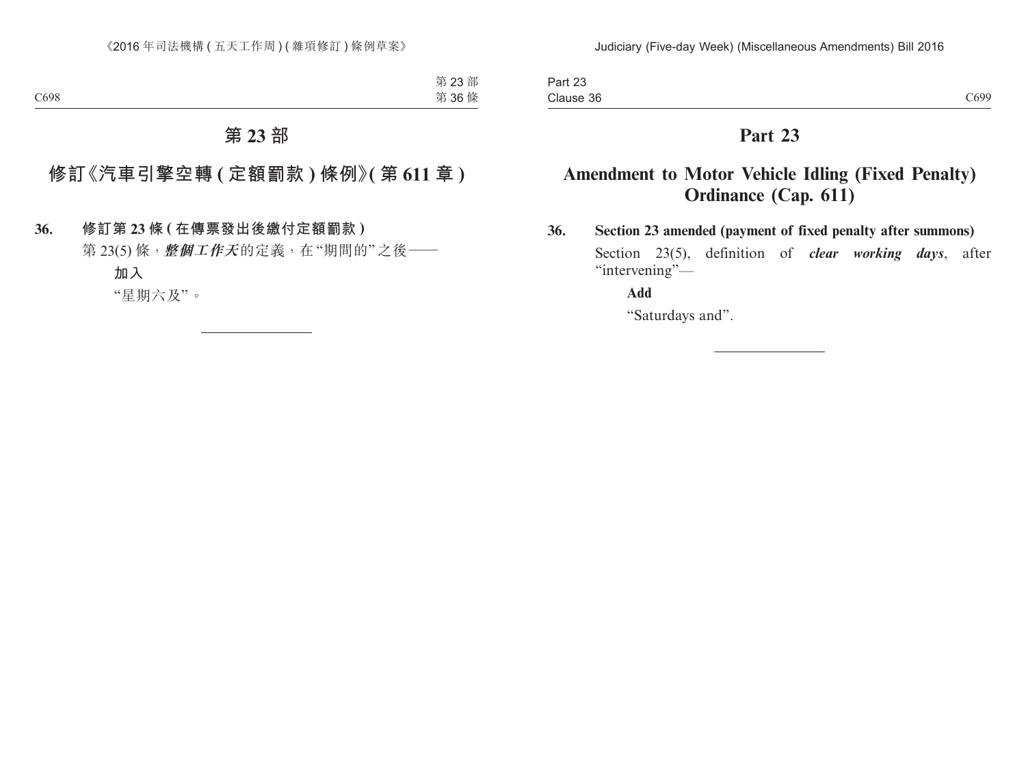# **Amendment to Motor Vehicle Idling (Fixed Penalty) Ordinance (Cap. 611)**

### **36. Section 23 amended (payment of fixed penalty after summons)** Section 23(5), definition of *clear working days*, after "intervening"-

### **Add**

"Saturdays and".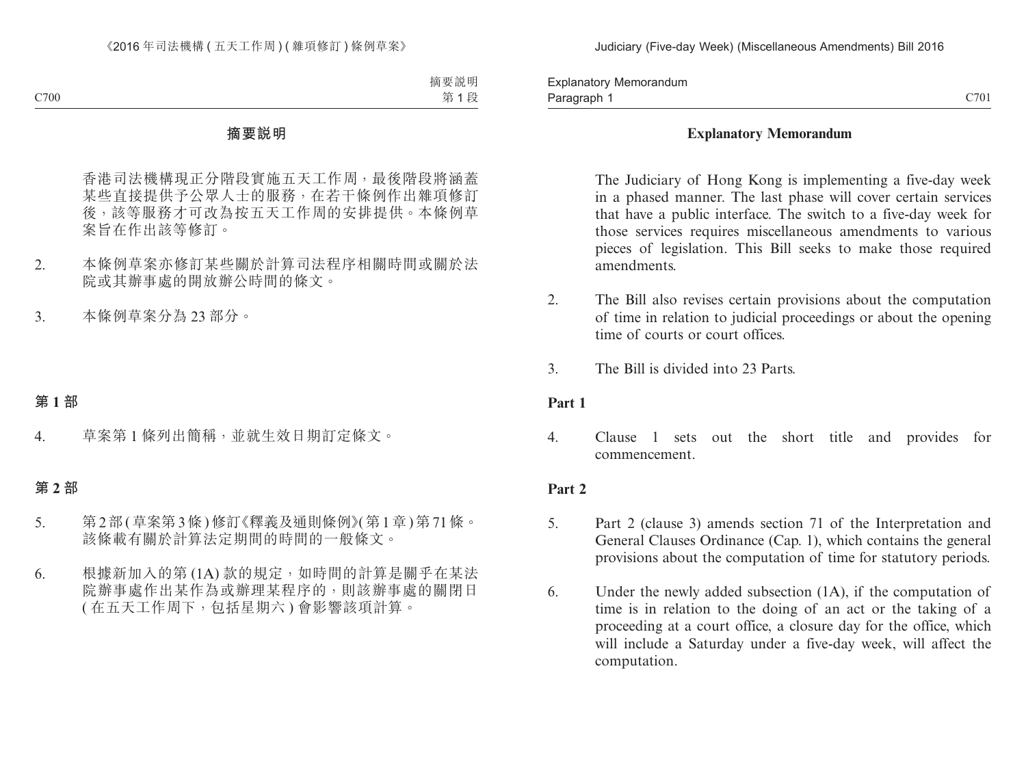Paragraph 1 and 200 control of the control of the control of the control of the control of the control of the control of the control of the control of the control of the control of the control of the control of the control Explanatory Memorandum Paragraph 1

### **Explanatory Memorandum**

The Judiciary of Hong Kong is implementing a five-day week in a phased manner. The last phase will cover certain services that have a public interface. The switch to a five-day week for those services requires miscellaneous amendments to various pieces of legislation. This Bill seeks to make those required amendments.

- 2. The Bill also revises certain provisions about the computation of time in relation to judicial proceedings or about the opening time of courts or court offices.
- 3. The Bill is divided into 23 Parts.

### **Part 1**

4. Clause 1 sets out the short title and provides for commencement.

### **Part 2**

- 5. Part 2 (clause 3) amends section 71 of the Interpretation and General Clauses Ordinance (Cap. 1), which contains the general provisions about the computation of time for statutory periods.
- 6. Under the newly added subsection (1A), if the computation of time is in relation to the doing of an act or the taking of a proceeding at a court office, a closure day for the office, which will include a Saturday under a five-day week, will affect the computation.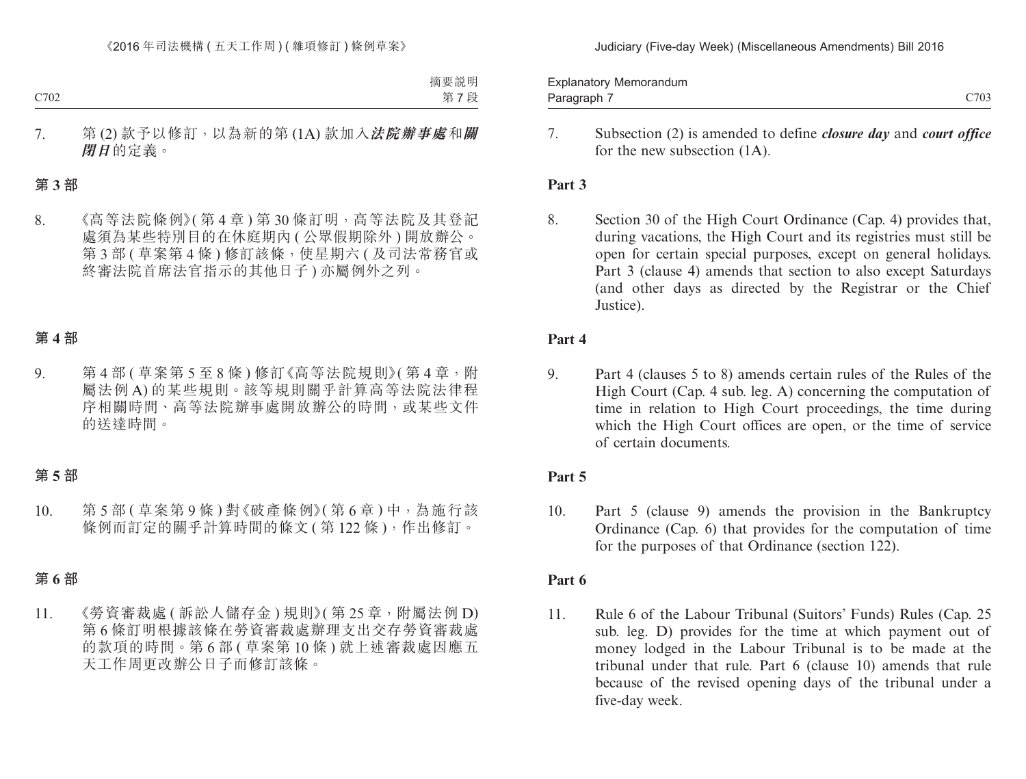Judiciary (Five-day Week) (Miscellaneous Amendments) Bill 2016

Paragraph 7 and 2002 C703 Explanatory Memorandum Paragraph 7

> 7. Subsection (2) is amended to define *closure day* and *court office*  for the new subsection (1A).

### **Part 3**

8. Section 30 of the High Court Ordinance (Cap. 4) provides that, during vacations, the High Court and its registries must still be open for certain special purposes, except on general holidays. Part 3 (clause 4) amends that section to also except Saturdays (and other days as directed by the Registrar or the Chief Justice).

### **Part 4**

9. Part 4 (clauses 5 to 8) amends certain rules of the Rules of the High Court (Cap. 4 sub. leg. A) concerning the computation of time in relation to High Court proceedings, the time during which the High Court offices are open, or the time of service of certain documents.

### **Part 5**

10. Part 5 (clause 9) amends the provision in the Bankruptcy Ordinance (Cap. 6) that provides for the computation of time for the purposes of that Ordinance (section 122).

### **Part 6**

11. Rule 6 of the Labour Tribunal (Suitors' Funds) Rules (Cap. 25 sub. leg. D) provides for the time at which payment out of money lodged in the Labour Tribunal is to be made at the tribunal under that rule. Part 6 (clause 10) amends that rule because of the revised opening days of the tribunal under a five-day week.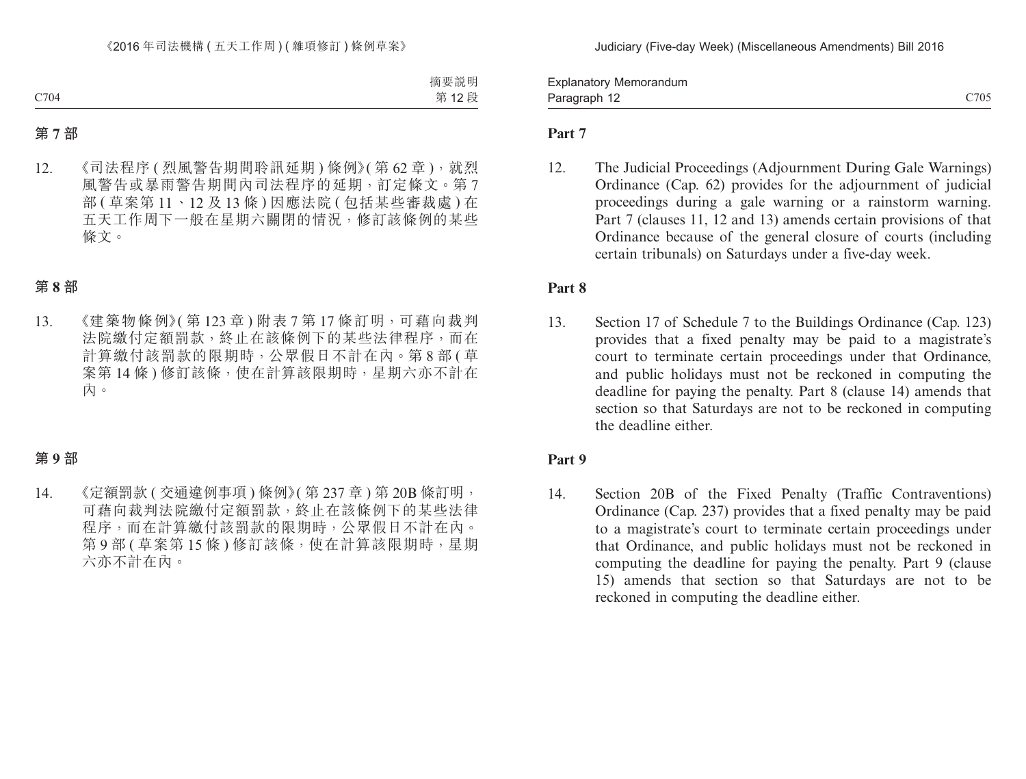Paragraph 12 and 2012 and 2014 and 2014 and 2014 and 2014 and 2014 and 2014 and 2014 and 2014 and 2014 and 201 Explanatory Memorandum Paragraph 12

### **Part 7**

12. The Judicial Proceedings (Adjournment During Gale Warnings) Ordinance (Cap. 62) provides for the adjournment of judicial proceedings during a gale warning or a rainstorm warning. Part 7 (clauses 11, 12 and 13) amends certain provisions of that Ordinance because of the general closure of courts (including certain tribunals) on Saturdays under a five-day week.

### **Part 8**

13. Section 17 of Schedule 7 to the Buildings Ordinance (Cap. 123) provides that a fixed penalty may be paid to a magistrate's court to terminate certain proceedings under that Ordinance, and public holidays must not be reckoned in computing the deadline for paying the penalty. Part 8 (clause 14) amends that section so that Saturdays are not to be reckoned in computing the deadline either.

### **Part 9**

14. Section 20B of the Fixed Penalty (Traffic Contraventions) Ordinance (Cap. 237) provides that a fixed penalty may be paid to a magistrate's court to terminate certain proceedings under that Ordinance, and public holidays must not be reckoned in computing the deadline for paying the penalty. Part 9 (clause 15) amends that section so that Saturdays are not to be reckoned in computing the deadline either.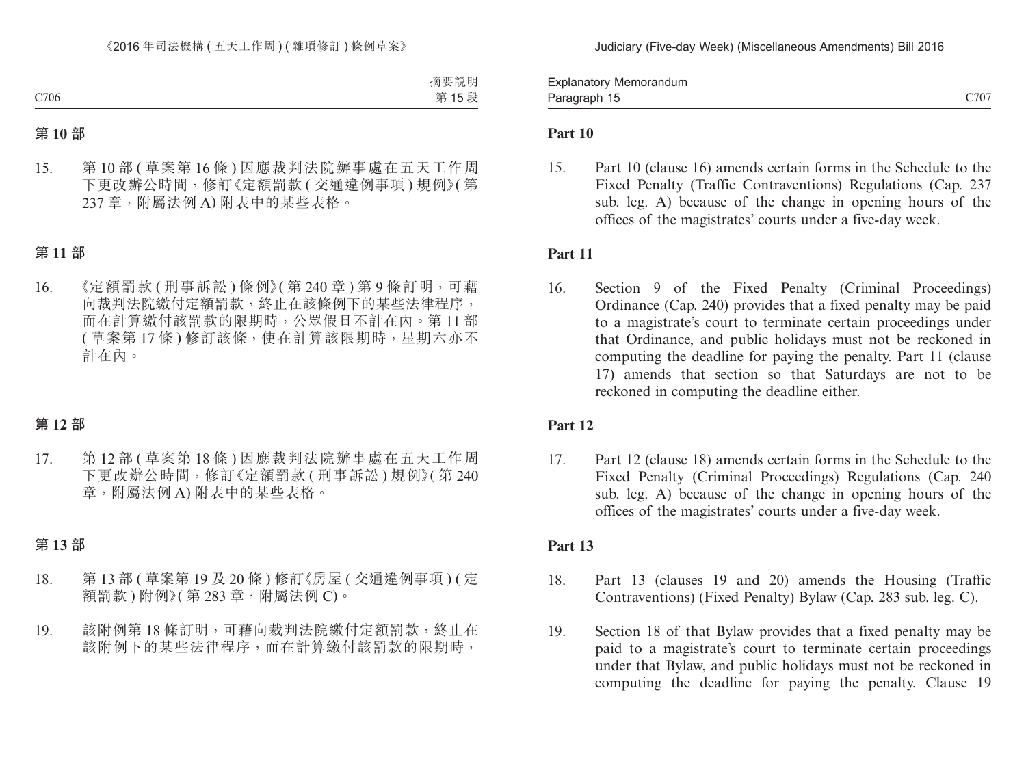C706 C707 Explanatory Memorandum Paragraph 15

### **Part 10**

15. Part 10 (clause 16) amends certain forms in the Schedule to the Fixed Penalty (Traffic Contraventions) Regulations (Cap. 237 sub. leg. A) because of the change in opening hours of the offices of the magistrates' courts under a five-day week.

### **Part 11**

16. Section 9 of the Fixed Penalty (Criminal Proceedings) Ordinance (Cap. 240) provides that a fixed penalty may be paid to a magistrate's court to terminate certain proceedings under that Ordinance, and public holidays must not be reckoned in computing the deadline for paying the penalty. Part 11 (clause 17) amends that section so that Saturdays are not to be reckoned in computing the deadline either.

### **Part 12**

17. Part 12 (clause 18) amends certain forms in the Schedule to the Fixed Penalty (Criminal Proceedings) Regulations (Cap. 240 sub. leg. A) because of the change in opening hours of the offices of the magistrates' courts under a five-day week.

### **Part 13**

- 18. Part 13 (clauses 19 and 20) amends the Housing (Traffic Contraventions) (Fixed Penalty) Bylaw (Cap. 283 sub. leg. C).
- 19. Section 18 of that Bylaw provides that a fixed penalty may be paid to a magistrate's court to terminate certain proceedings under that Bylaw, and public holidays must not be reckoned in computing the deadline for paying the penalty. Clause 19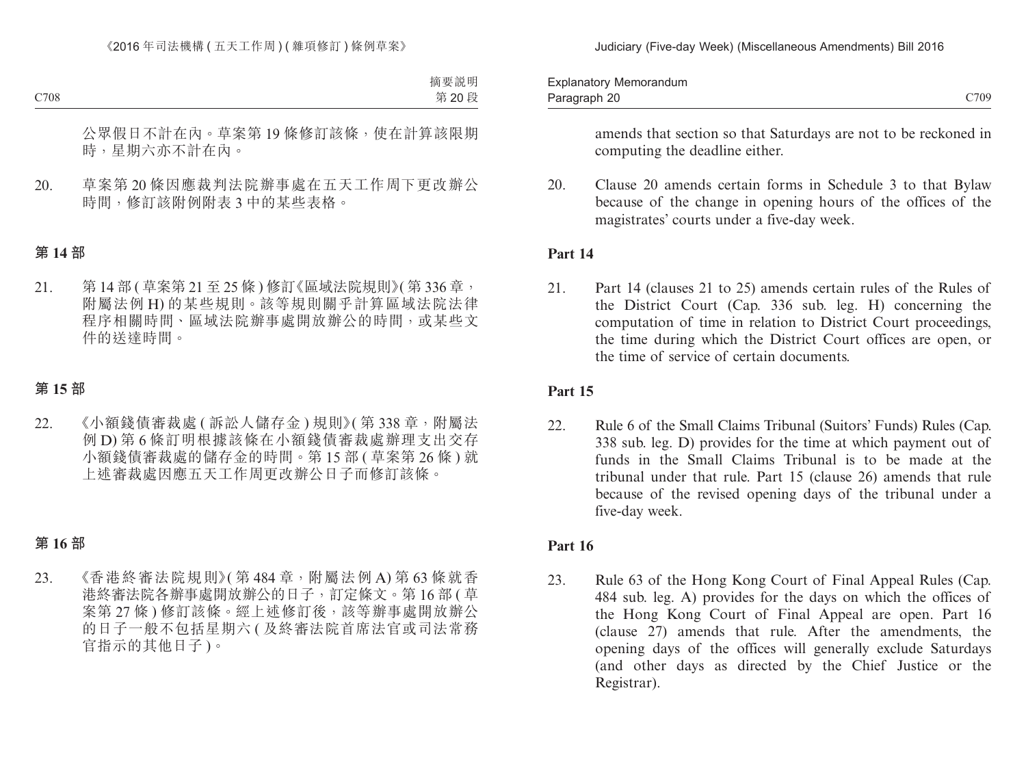Paragraph 20 and 20 and 20 and 20 and 20 and 20 and 20 and 20 and 20 and 20 and 20 and 20 and 20 and 20 and 20 Explanatory Memorandum Paragraph 20

amends that section so that Saturdays are not to be reckoned in computing the deadline either.

20. Clause 20 amends certain forms in Schedule 3 to that Bylaw because of the change in opening hours of the offices of the magistrates' courts under a five-day week.

### **Part 14**

21. Part 14 (clauses 21 to 25) amends certain rules of the Rules of the District Court (Cap. 336 sub. leg. H) concerning the computation of time in relation to District Court proceedings, the time during which the District Court offices are open, or the time of service of certain documents.

### **Part 15**

22. Rule 6 of the Small Claims Tribunal (Suitors' Funds) Rules (Cap. 338 sub. leg. D) provides for the time at which payment out of funds in the Small Claims Tribunal is to be made at the tribunal under that rule. Part 15 (clause 26) amends that rule because of the revised opening days of the tribunal under a five-day week.

### **Part 16**

23. Rule 63 of the Hong Kong Court of Final Appeal Rules (Cap. 484 sub. leg. A) provides for the days on which the offices of the Hong Kong Court of Final Appeal are open. Part 16 (clause 27) amends that rule. After the amendments, the opening days of the offices will generally exclude Saturdays (and other days as directed by the Chief Justice or the Registrar).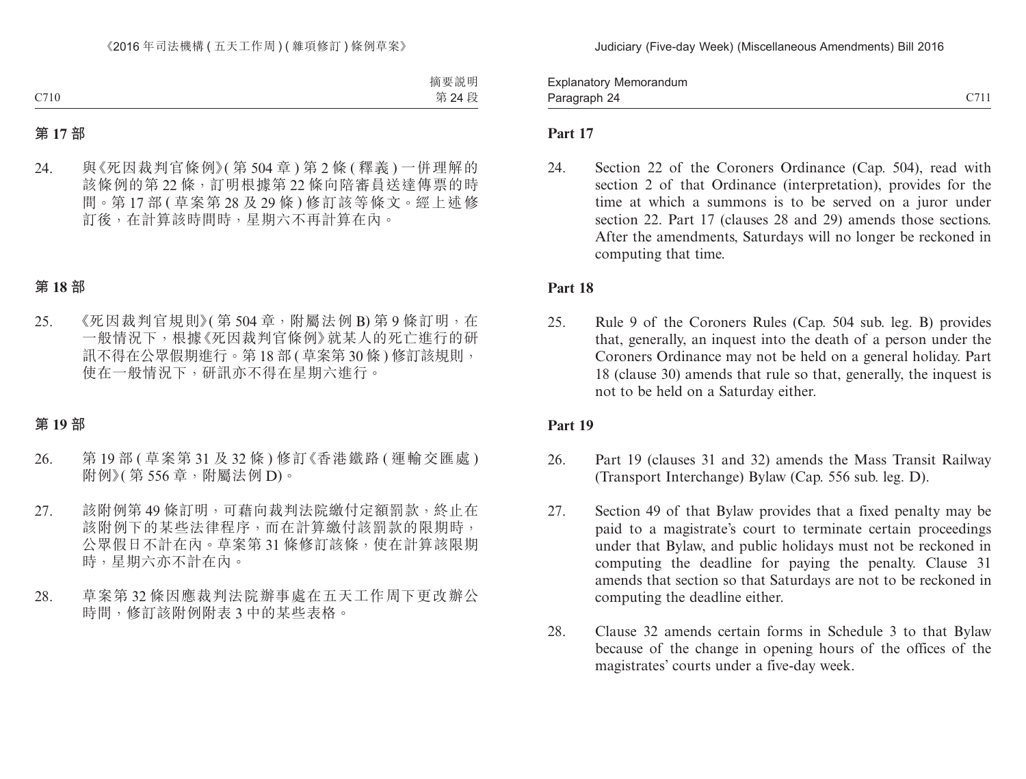Paragraph 24 and 2011 and 2012 and 2012 and 2014 and 2012 and 2014 and 2012 and 2014 and 2014 and 2014 and 201 Explanatory Memorandum Paragraph 24

### **Part 17**

24. Section 22 of the Coroners Ordinance (Cap. 504), read with section 2 of that Ordinance (interpretation), provides for the time at which a summons is to be served on a juror under section 22. Part 17 (clauses 28 and 29) amends those sections. After the amendments, Saturdays will no longer be reckoned in computing that time.

### **Part 18**

25. Rule 9 of the Coroners Rules (Cap. 504 sub. leg. B) provides that, generally, an inquest into the death of a person under the Coroners Ordinance may not be held on a general holiday. Part 18 (clause 30) amends that rule so that, generally, the inquest is not to be held on a Saturday either.

### **Part 19**

- 26. Part 19 (clauses 31 and 32) amends the Mass Transit Railway (Transport Interchange) Bylaw (Cap. 556 sub. leg. D).
- 27. Section 49 of that Bylaw provides that a fixed penalty may be paid to a magistrate's court to terminate certain proceedings under that Bylaw, and public holidays must not be reckoned in computing the deadline for paying the penalty. Clause 31 amends that section so that Saturdays are not to be reckoned in computing the deadline either.
- 28. Clause 32 amends certain forms in Schedule 3 to that Bylaw because of the change in opening hours of the offices of the magistrates' courts under a five-day week.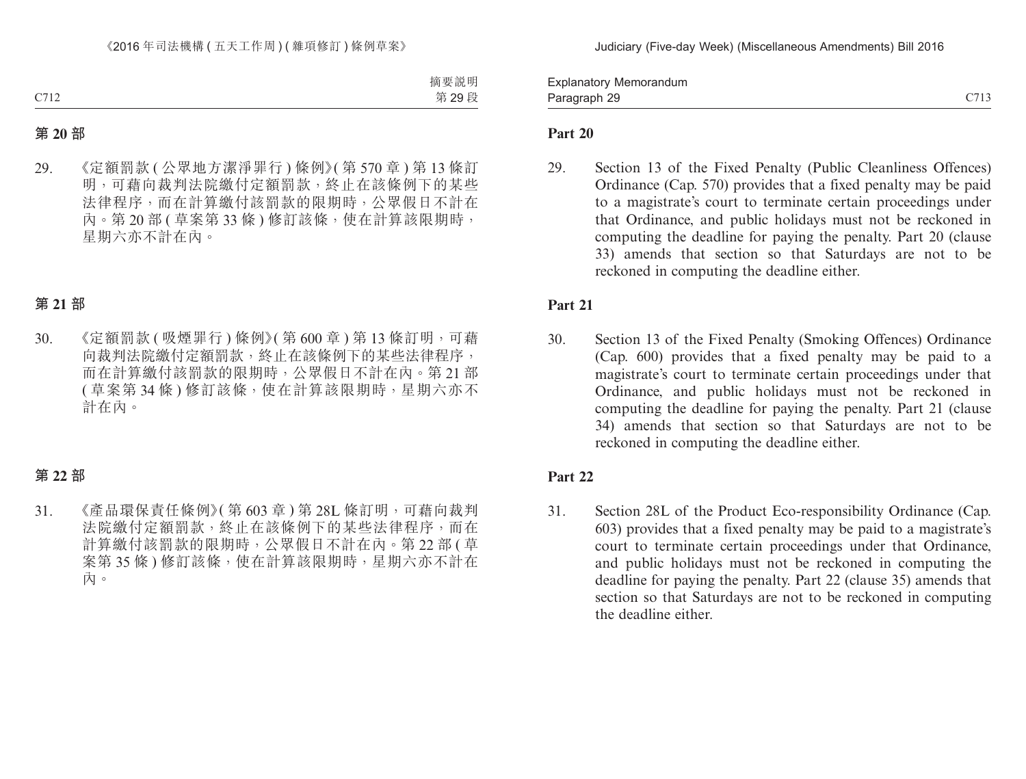Paragraph 29 and 2012 C713 Explanatory Memorandum Paragraph 29

### **Part 20**

29. Section 13 of the Fixed Penalty (Public Cleanliness Offences) Ordinance (Cap. 570) provides that a fixed penalty may be paid to a magistrate's court to terminate certain proceedings under that Ordinance, and public holidays must not be reckoned in computing the deadline for paying the penalty. Part 20 (clause 33) amends that section so that Saturdays are not to be reckoned in computing the deadline either.

### **Part 21**

30. Section 13 of the Fixed Penalty (Smoking Offences) Ordinance (Cap. 600) provides that a fixed penalty may be paid to a magistrate's court to terminate certain proceedings under that Ordinance, and public holidays must not be reckoned in computing the deadline for paying the penalty. Part 21 (clause 34) amends that section so that Saturdays are not to be reckoned in computing the deadline either.

### **Part 22**

31. Section 28L of the Product Eco-responsibility Ordinance (Cap. 603) provides that a fixed penalty may be paid to a magistrate's court to terminate certain proceedings under that Ordinance, and public holidays must not be reckoned in computing the deadline for paying the penalty. Part 22 (clause 35) amends that section so that Saturdays are not to be reckoned in computing the deadline either.